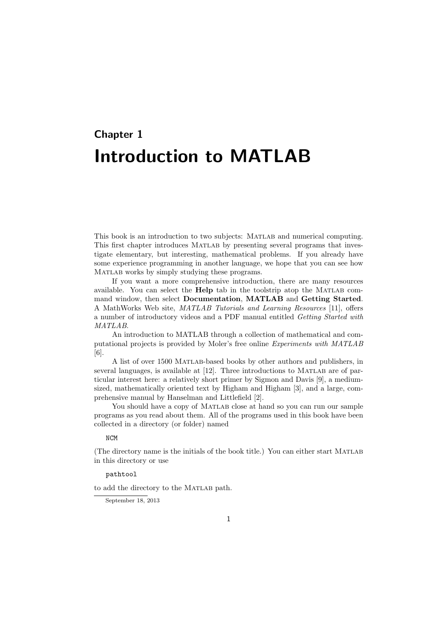# **Chapter 1 Introduction to MATLAB**

This book is an introduction to two subjects: Matlab and numerical computing. This first chapter introduces Matlab by presenting several programs that investigate elementary, but interesting, mathematical problems. If you already have some experience programming in another language, we hope that you can see how Matlab works by simply studying these programs.

If you want a more comprehensive introduction, there are many resources available. You can select the **Help** tab in the toolstrip atop the Matlab command window, then select **Documentation**, **MATLAB** and **Getting Started**. A MathWorks Web site, *MATLAB Tutorials and Learning Resources* [11], offers a number of introductory videos and a PDF manual entitled *Getting Started with MATLAB*.

An introduction to MATLAB through a collection of mathematical and computational projects is provided by Moler's free online *Experiments with MATLAB* [6].

A list of over 1500 Matlab-based books by other authors and publishers, in several languages, is available at [12]. Three introductions to MATLAB are of particular interest here: a relatively short primer by Sigmon and Davis [9], a mediumsized, mathematically oriented text by Higham and Higham [3], and a large, comprehensive manual by Hanselman and Littlefield [2].

You should have a copy of MATLAB close at hand so you can run our sample programs as you read about them. All of the programs used in this book have been collected in a directory (or folder) named

#### NCM

(The directory name is the initials of the book title.) You can either start Matlab in this directory or use

#### pathtool

to add the directory to the MATLAB path.

September 18, 2013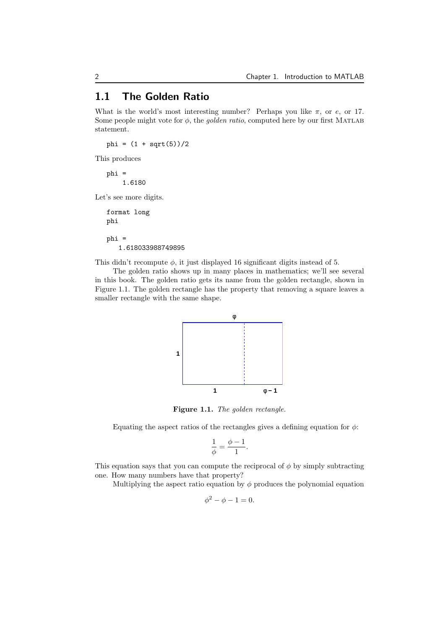# **1.1 The Golden Ratio**

What is the world's most interesting number? Perhaps you like  $\pi$ , or *e*, or 17. Some people might vote for  $\phi$ , the *golden ratio*, computed here by our first MATLAB statement.

 $phi = (1 + sqrt(5))/2$ 

This produces

phi = 1.6180

Let's see more digits.

format long phi phi = 1.618033988749895

This didn't recompute *ϕ*, it just displayed 16 significant digits instead of 5.

The golden ratio shows up in many places in mathematics; we'll see several in this book. The golden ratio gets its name from the golden rectangle, shown in Figure 1.1. The golden rectangle has the property that removing a square leaves a smaller rectangle with the same shape.



**Figure 1.1.** *The golden rectangle.*

Equating the aspect ratios of the rectangles gives a defining equation for  $\phi$ :

$$
\frac{1}{\phi} = \frac{\phi - 1}{1}.
$$

This equation says that you can compute the reciprocal of  $\phi$  by simply subtracting one. How many numbers have that property?

Multiplying the aspect ratio equation by  $\phi$  produces the polynomial equation

$$
\phi^2 - \phi - 1 = 0.
$$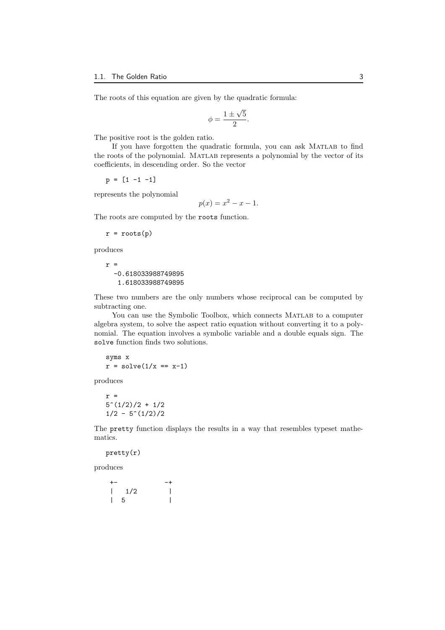The roots of this equation are given by the quadratic formula:

$$
\phi = \frac{1 \pm \sqrt{5}}{2}.
$$

The positive root is the golden ratio.

If you have forgotten the quadratic formula, you can ask Matlab to find the roots of the polynomial. Matlab represents a polynomial by the vector of its coefficients, in descending order. So the vector

 $p = [1 -1 -1]$ 

represents the polynomial

 $p(x) = x^2 - x - 1$ .

The roots are computed by the roots function.

 $r = \text{roots}(p)$ 

produces

r = -0.618033988749895 1.618033988749895

These two numbers are the only numbers whose reciprocal can be computed by subtracting one.

You can use the Symbolic Toolbox, which connects MATLAB to a computer algebra system, to solve the aspect ratio equation without converting it to a polynomial. The equation involves a symbolic variable and a double equals sign. The solve function finds two solutions.

syms x  $r = \text{solve}(1/x == x-1)$ 

produces

r =  $5^{\degree}(1/2)/2 + 1/2$  $1/2 - 5^{\circ}(1/2)/2$ 

The pretty function displays the results in a way that resembles typeset mathematics.

pretty(r)

produces

| $+ -$                    |     | -+ |
|--------------------------|-----|----|
| $\overline{\phantom{a}}$ | 1/2 |    |
| $\overline{1}$           | 5   |    |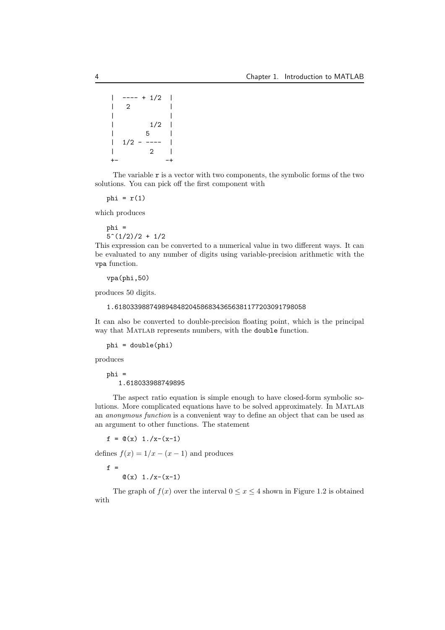$--- + 1/2$  $\begin{array}{ccc} \vert & 2 & \vert \end{array}$ | |  $1/2$ | 5 |  $| 1/2 - ---$ | 2 | +- -+

The variable  $r$  is a vector with two components, the symbolic forms of the two solutions. You can pick off the first component with

phi =  $r(1)$ 

which produces

phi =  $5^{\degree}(1/2)/2 + 1/2$ 

This expression can be converted to a numerical value in two different ways. It can be evaluated to any number of digits using variable-precision arithmetic with the vpa function.

vpa(phi,50)

produces 50 digits.

1.6180339887498948482045868343656381177203091798058

It can also be converted to double-precision floating point, which is the principal way that MATLAB represents numbers, with the double function.

phi = double(phi)

produces

phi = 1.618033988749895

The aspect ratio equation is simple enough to have closed-form symbolic solutions. More complicated equations have to be solved approximately. In Matlab an *anonymous function* is a convenient way to define an object that can be used as an argument to other functions. The statement

 $f = \mathcal{Q}(x) 1.7x-(x-1)$ 

defines  $f(x) = 1/x - (x - 1)$  and produces

 $f =$ 

 $\mathfrak{O}(x)$  1./x-(x-1)

The graph of  $f(x)$  over the interval  $0 \le x \le 4$  shown in Figure 1.2 is obtained with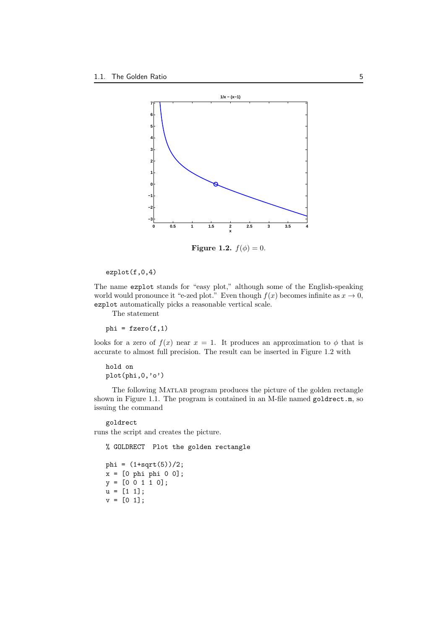

**Figure 1.2.**  $f(\phi) = 0$ .

#### ezplot(f,0,4)

The name ezplot stands for "easy plot," although some of the English-speaking world would pronounce it "e-zed plot." Even though  $f(x)$  becomes infinite as  $x \to 0$ , ezplot automatically picks a reasonable vertical scale.

The statement

 $phi = fzero(f,1)$ 

looks for a zero of  $f(x)$  near  $x = 1$ . It produces an approximation to  $\phi$  that is accurate to almost full precision. The result can be inserted in Figure 1.2 with

hold on plot(phi,0,'o')

The following Matlab program produces the picture of the golden rectangle shown in Figure 1.1. The program is contained in an M-file named goldrect.m, so issuing the command

#### goldrect runs the script and creates the picture.

```
% GOLDRECT Plot the golden rectangle
phi = (1+sqrt(5))/2;x = [0 \text{ phi phi } 0 0];y = [0 \ 0 \ 1 \ 1 \ 0];u = [1 1];v = [0 1];
```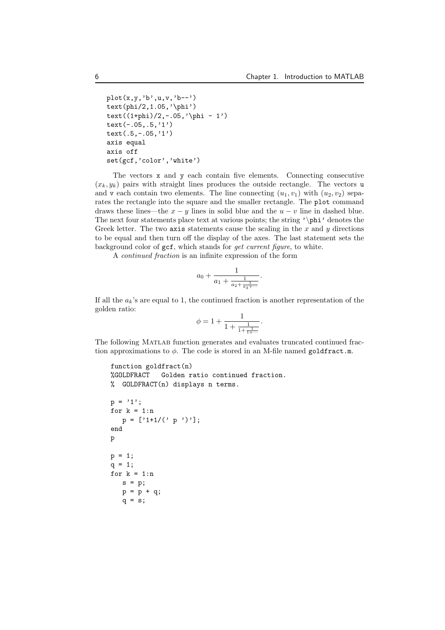$plot(x,y,'b',u,v,'b--')$ text(phi/2,1.05,'\phi') text( $(1+phi)/2, -.05, 'phi - 1')$ text(-.05,.5,'1') text(.5,-.05,'1') axis equal axis off set(gcf,'color','white')

The vectors x and y each contain five elements. Connecting consecutive  $(x_k, y_k)$  pairs with straight lines produces the outside rectangle. The vectors u and v each contain two elements. The line connecting  $(u_1, v_1)$  with  $(u_2, v_2)$  separates the rectangle into the square and the smaller rectangle. The plot command draws these lines—the  $x - y$  lines in solid blue and the  $u - v$  line in dashed blue. The next four statements place text at various points; the string '*\*phi' denotes the Greek letter. The two axis statements cause the scaling in the  $x$  and  $y$  directions to be equal and then turn off the display of the axes. The last statement sets the background color of gcf, which stands for *get current figure*, to white.

A *continued fraction* is an infinite expression of the form

$$
a_0 + \frac{1}{a_1 + \frac{1}{a_2 + \frac{1}{a_3 + \cdots}}}.
$$

If all the  $a_k$ 's are equal to 1, the continued fraction is another representation of the golden ratio:

$$
\phi = 1 + \frac{1}{1 + \frac{1}{1 + \frac{1}{1 + \dots}}}
$$

The following Matlab function generates and evaluates truncated continued fraction approximations to *ϕ*. The code is stored in an M-file named goldfract.m.

```
function goldfract(n)
%GOLDFRACT Golden ratio continued fraction.
% GOLDFRACT(n) displays n terms.
p = '1';for k = 1:np = [\n'1+1/(\n' p \n')'];
end
p
p = 1:
q = 1;for k = 1:ns = p;p = p + q;q = s;
```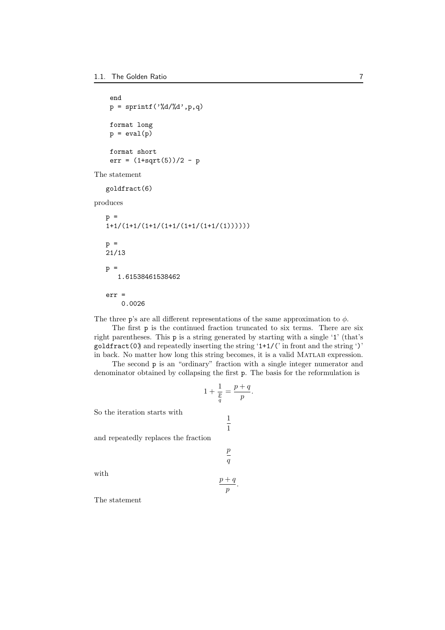```
end
   p =sprintf('%d/%d',p,q)
   format long
   p = eval(p)format short
    err = (1+sqrt(5))/2 - pThe statement
   goldfract(6)
produces
  p =1+1/(1+1/(1+1/(1+1/(1+1/(1+1/(1))))))
```

```
p =21/13
p =1.61538461538462
err =
    0.0026
```
The three p's are all different representations of the same approximation to *ϕ*.

The first p is the continued fraction truncated to six terms. There are six right parentheses. This p is a string generated by starting with a single '1' (that's  $\text{goldfract}(0)$  and repeatedly inserting the string '1+1/(' in front and the string ')' in back. No matter how long this string becomes, it is a valid Matlab expression.

The second p is an "ordinary" fraction with a single integer numerator and denominator obtained by collapsing the first p. The basis for the reformulation is

$$
1 + \frac{1}{\frac{p}{q}} = \frac{p+q}{p}.
$$

1  $\overline{1}$ 

*p q*

So the iteration starts with

and repeatedly replaces the fraction

$$
f_{\rm{max}}
$$

$$
\frac{p+q}{p}.
$$

The statement

with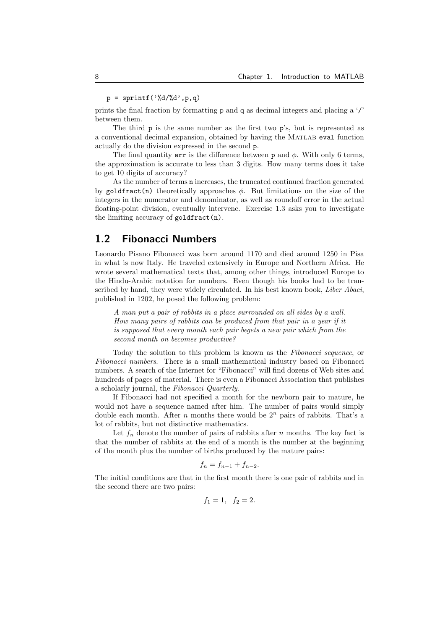$p =$ sprintf('%d/%d',p,q)

prints the final fraction by formatting p and q as decimal integers and placing a '/' between them.

The third p is the same number as the first two p's, but is represented as a conventional decimal expansion, obtained by having the Matlab eval function actually do the division expressed in the second p.

The final quantity err is the difference between  $p$  and  $\phi$ . With only 6 terms, the approximation is accurate to less than 3 digits. How many terms does it take to get 10 digits of accuracy?

As the number of terms n increases, the truncated continued fraction generated by goldfract(n) theoretically approaches *ϕ*. But limitations on the size of the integers in the numerator and denominator, as well as roundoff error in the actual floating-point division, eventually intervene. Exercise 1.3 asks you to investigate the limiting accuracy of goldfract(n).

### **1.2 Fibonacci Numbers**

Leonardo Pisano Fibonacci was born around 1170 and died around 1250 in Pisa in what is now Italy. He traveled extensively in Europe and Northern Africa. He wrote several mathematical texts that, among other things, introduced Europe to the Hindu-Arabic notation for numbers. Even though his books had to be transcribed by hand, they were widely circulated. In his best known book, *Liber Abaci*, published in 1202, he posed the following problem:

*A man put a pair of rabbits in a place surrounded on all sides by a wall. How many pairs of rabbits can be produced from that pair in a year if it is supposed that every month each pair begets a new pair which from the second month on becomes productive?*

Today the solution to this problem is known as the *Fibonacci sequence*, or *Fibonacci numbers*. There is a small mathematical industry based on Fibonacci numbers. A search of the Internet for "Fibonacci" will find dozens of Web sites and hundreds of pages of material. There is even a Fibonacci Association that publishes a scholarly journal, the *Fibonacci Quarterly*.

If Fibonacci had not specified a month for the newborn pair to mature, he would not have a sequence named after him. The number of pairs would simply double each month. After *n* months there would be  $2^n$  pairs of rabbits. That's a lot of rabbits, but not distinctive mathematics.

Let  $f_n$  denote the number of pairs of rabbits after *n* months. The key fact is that the number of rabbits at the end of a month is the number at the beginning of the month plus the number of births produced by the mature pairs:

$$
f_n = f_{n-1} + f_{n-2}.
$$

The initial conditions are that in the first month there is one pair of rabbits and in the second there are two pairs:

$$
f_1 = 1, \quad f_2 = 2.
$$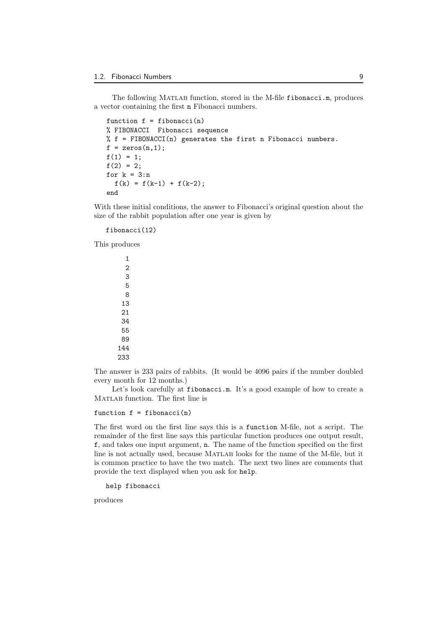The following MATLAB function, stored in the M-file fibonacci.m, produces a vector containing the first n Fibonacci numbers.

```
function f = fibonacci(n)% FIBONACCI Fibonacci sequence
% f = FIBONACCI(n) generates the first n Fibonacci numbers.
f = zeros(n, 1);f(1) = 1;f(2) = 2;for k = 3:nf(k) = f(k-1) + f(k-2);end
```
With these initial conditions, the answer to Fibonacci's original question about the size of the rabbit population after one year is given by

fibonacci(12)

This produces

The answer is 233 pairs of rabbits. (It would be 4096 pairs if the number doubled every month for 12 months.)

Let's look carefully at fibonacci.m. It's a good example of how to create a Matlab function. The first line is

#### function  $f = fibonacci(n)$

The first word on the first line says this is a function M-file, not a script. The remainder of the first line says this particular function produces one output result, f, and takes one input argument, n. The name of the function specified on the first line is not actually used, because MATLAB looks for the name of the M-file, but it is common practice to have the two match. The next two lines are comments that provide the text displayed when you ask for help.

help fibonacci

produces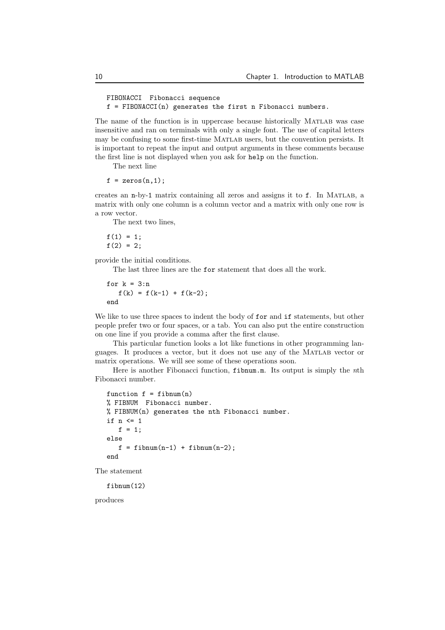FIBONACCI Fibonacci sequence

f = FIBONACCI(n) generates the first n Fibonacci numbers.

The name of the function is in uppercase because historically Matlab was case insensitive and ran on terminals with only a single font. The use of capital letters may be confusing to some first-time Matlab users, but the convention persists. It is important to repeat the input and output arguments in these comments because the first line is not displayed when you ask for help on the function.

The next line

 $f = zeros(n, 1)$ :

creates an n-by-1 matrix containing all zeros and assigns it to f. In Matlab, a matrix with only one column is a column vector and a matrix with only one row is a row vector.

The next two lines,

```
f(1) = 1;f(2) = 2;
```
provide the initial conditions.

The last three lines are the for statement that does all the work.

```
for k = 3:nf(k) = f(k-1) + f(k-2);end
```
We like to use three spaces to indent the body of for and if statements, but other people prefer two or four spaces, or a tab. You can also put the entire construction on one line if you provide a comma after the first clause.

This particular function looks a lot like functions in other programming languages. It produces a vector, but it does not use any of the Matlab vector or matrix operations. We will see some of these operations soon.

Here is another Fibonacci function, fibnum.m. Its output is simply the *n*th Fibonacci number.

```
function f = fibnum(n)% FIBNUM Fibonacci number.
% FIBNUM(n) generates the nth Fibonacci number.
if n <= 1
   f = 1;else
   f = fibnum(n-1) + fibnum(n-2);end
```
The statement

```
fibnum(12)
```
produces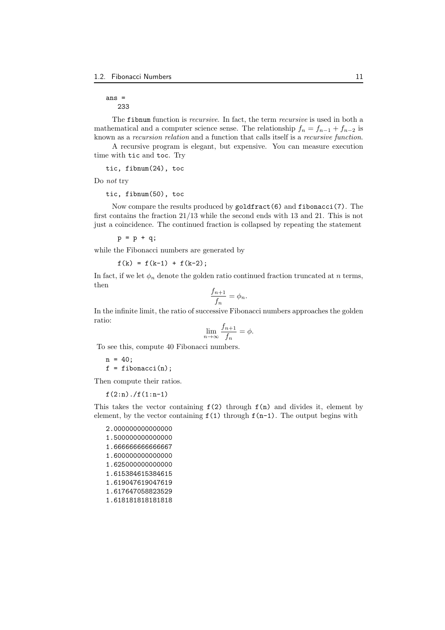ans = 233

The fibnum function is *recursive*. In fact, the term *recursive* is used in both a mathematical and a computer science sense. The relationship  $f_n = f_{n-1} + f_{n-2}$  is known as a *recursion relation* and a function that calls itself is a *recursive function*.

A recursive program is elegant, but expensive. You can measure execution time with tic and toc. Try

tic, fibnum(24), toc

Do *not* try

tic, fibnum(50), toc

Now compare the results produced by goldfract(6) and fibonacci(7). The first contains the fraction 21*/*13 while the second ends with 13 and 21. This is not just a coincidence. The continued fraction is collapsed by repeating the statement

 $p = p + q;$ 

while the Fibonacci numbers are generated by

 $f(k) = f(k-1) + f(k-2);$ 

In fact, if we let  $\phi_n$  denote the golden ratio continued fraction truncated at *n* terms, then

$$
\frac{f_{n+1}}{f_n} = \phi_n.
$$

In the infinite limit, the ratio of successive Fibonacci numbers approaches the golden ratio:

$$
\lim_{n \to \infty} \frac{f_{n+1}}{f_n} = \phi.
$$

To see this, compute 40 Fibonacci numbers.

$$
n = 40;
$$
  

$$
f = \text{fibonacci}(n);
$$

Then compute their ratios.

 $f(2:n)$ ./ $f(1:n-1)$ 

This takes the vector containing  $f(2)$  through  $f(n)$  and divides it, element by element, by the vector containing  $f(1)$  through  $f(n-1)$ . The output begins with

2.000000000000000 1.500000000000000 1.666666666666667 1.600000000000000 1.625000000000000 1.615384615384615 1.619047619047619 1.617647058823529 1.618181818181818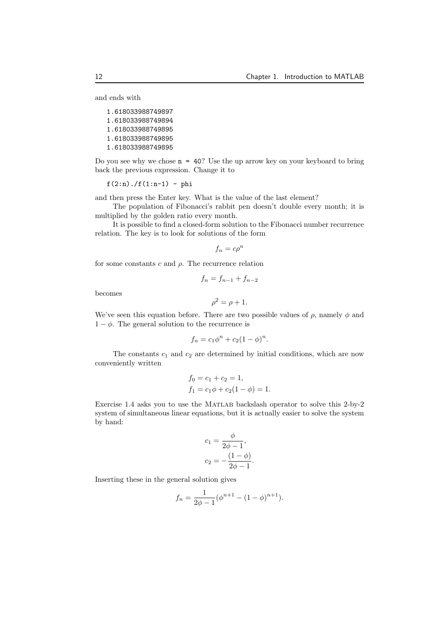and ends with

1.618033988749897 1.618033988749894 1.618033988749895 1.618033988749895 1.618033988749895

Do you see why we chose  $n = 40$ ? Use the up arrow key on your keyboard to bring back the previous expression. Change it to

 $f(2:n)$ ./ $f(1:n-1)$  - phi

and then press the Enter key. What is the value of the last element?

The population of Fibonacci's rabbit pen doesn't double every month; it is multiplied by the golden ratio every month.

It is possible to find a closed-form solution to the Fibonacci number recurrence relation. The key is to look for solutions of the form

$$
f_n = c\rho^n
$$

for some constants  $c$  and  $\rho$ . The recurrence relation

$$
f_n = f_{n-1} + f_{n-2}
$$

becomes

$$
\rho^2 = \rho + 1.
$$

We've seen this equation before. There are two possible values of  $\rho$ , namely  $\phi$  and  $1 - \phi$ . The general solution to the recurrence is

$$
f_n = c_1 \phi^n + c_2 (1 - \phi)^n.
$$

The constants  $c_1$  and  $c_2$  are determined by initial conditions, which are now conveniently written

$$
f_0 = c_1 + c_2 = 1,
$$
  
\n
$$
f_1 = c_1 \phi + c_2 (1 - \phi) = 1.
$$

Exercise 1.4 asks you to use the Matlab backslash operator to solve this 2-by-2 system of simultaneous linear equations, but it is actually easier to solve the system by hand:

$$
c_1 = \frac{\phi}{2\phi - 1}, \nc_2 = -\frac{(1 - \phi)}{2\phi - 1}.
$$

Inserting these in the general solution gives

$$
f_n = \frac{1}{2\phi - 1} (\phi^{n+1} - (1 - \phi)^{n+1}).
$$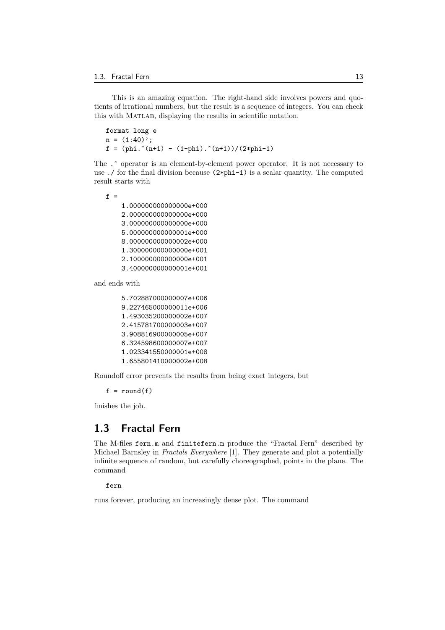This is an amazing equation. The right-hand side involves powers and quotients of irrational numbers, but the result is a sequence of integers. You can check this with Matlab, displaying the results in scientific notation.

```
format long e
n = (1:40);
f = (phi.^(n+1) - (1-phi).^(n+1))/(2*phi-1)
```
The .^ operator is an element-by-element power operator. It is not necessary to use ./ for the final division because (2\*phi-1) is a scalar quantity. The computed result starts with

 $f =$ 1.000000000000000e+000 2.000000000000000e+000

- 3.000000000000000e+000 5.000000000000001e+000 8.000000000000002e+000 1.300000000000000e+001 2.100000000000000e+001
- 3.400000000000001e+001

and ends with

5.702887000000007e+006 9.227465000000011e+006 1.493035200000002e+007 2.415781700000003e+007 3.908816900000005e+007 6.324598600000007e+007 1.023341550000001e+008 1.655801410000002e+008

Roundoff error prevents the results from being exact integers, but

 $f = round(f)$ 

finishes the job.

# **1.3 Fractal Fern**

The M-files fern.m and finitefern.m produce the "Fractal Fern" described by Michael Barnsley in *Fractals Everywhere* [1]. They generate and plot a potentially infinite sequence of random, but carefully choreographed, points in the plane. The command

fern

runs forever, producing an increasingly dense plot. The command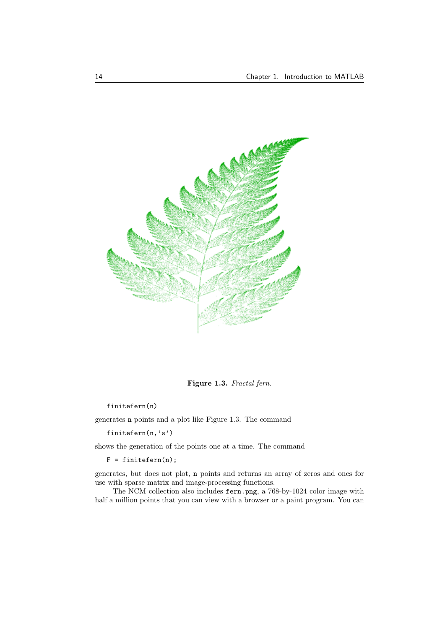

**Figure 1.3.** *Fractal fern.*

#### finitefern(n)

generates n points and a plot like Figure 1.3. The command

finitefern(n,'s')

shows the generation of the points one at a time. The command

 $F = finitefern(n);$ 

generates, but does not plot, n points and returns an array of zeros and ones for use with sparse matrix and image-processing functions.

The NCM collection also includes fern.png, a 768-by-1024 color image with half a million points that you can view with a browser or a paint program. You can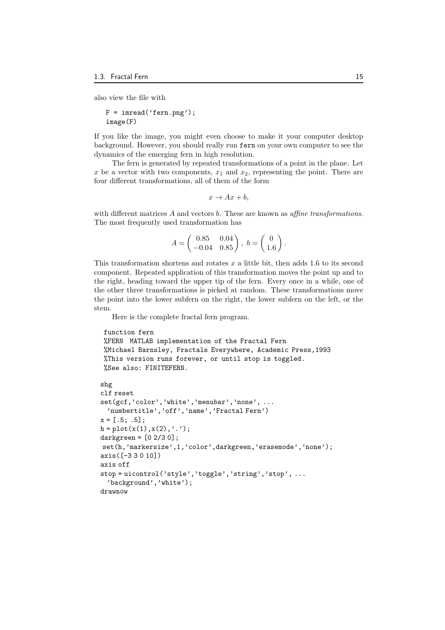also view the file with

F = imread('fern.png'); image(F)

If you like the image, you might even choose to make it your computer desktop background. However, you should really run fern on your own computer to see the dynamics of the emerging fern in high resolution.

The fern is generated by repeated transformations of a point in the plane. Let *x* be a vector with two components, *x*<sup>1</sup> and *x*2, representing the point. There are four different transformations, all of them of the form

$$
x \to Ax + b,
$$

with different matrices *A* and vectors *b*. These are known as *affine transformations*. The most frequently used transformation has

$$
A = \begin{pmatrix} 0.85 & 0.04 \\ -0.04 & 0.85 \end{pmatrix}, b = \begin{pmatrix} 0 \\ 1.6 \end{pmatrix}.
$$

This transformation shortens and rotates *x* a little bit, then adds 1*.*6 to its second component. Repeated application of this transformation moves the point up and to the right, heading toward the upper tip of the fern. Every once in a while, one of the other three transformations is picked at random. These transformations move the point into the lower subfern on the right, the lower subfern on the left, or the stem.

Here is the complete fractal fern program.

```
function fern
 %FERN MATLAB implementation of the Fractal Fern
%Michael Barnsley, Fractals Everywhere, Academic Press,1993
 %This version runs forever, or until stop is toggled.
%See also: FINITEFERN.
shg
clf reset
set(gcf,'color','white','menubar','none', ...
 'numbertitle','off','name','Fractal Fern')
x = [.5; .5];h = plot(x(1),x(2),\cdot\cdot\cdot);darkgreen = [0 2/3 0];
set(h,'markersize',1,'color',darkgreen,'erasemode','none');
axis([-3 3 0 10])
axis off
stop = uicontrol('style','toggle','string','stop', ...
  'background','white');
drawnow
```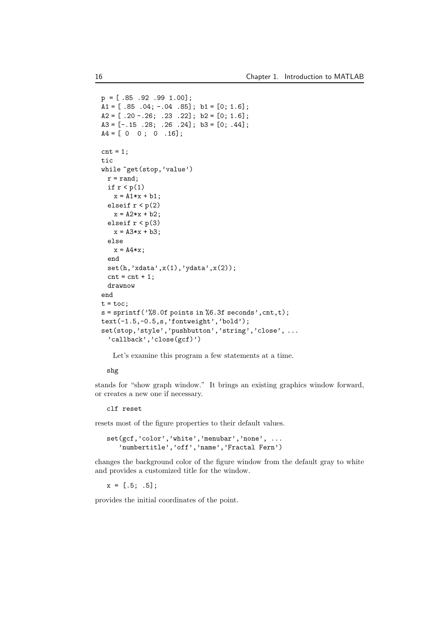```
p = [ .85 .92 .99 1.00];
A1 = [.85 .04; -.04 .85]; b1 = [0; 1.6];A2 = [.20 - .26; .23 .22]; b2 = [0; 1.6];A3 = [-.15 \t .28; \t .26 \t .24]; b3 = [0; .44];A4 = [ 0 0; 0 .16];cnt = 1;
tic
while ~get(stop,'value')
 r = \text{rand};
 if r < p(1)x = A1*x + b1;elseif r < p(2)x = A2*x + b2;elseif r < p(3)x = A3*x + b3;else
   x = A4*x;end
 set(h,'xdata',x(1),'ydata',x(2));
 cnt = cnt + 1;drawnow
end
t = toc;s =sprintf('%8.0f points in %6.3f seconds', cnt, t);
text(-1.5,-0.5,s,'fontweight','bold');
set(stop,'style','pushbutton','string','close', ...
  'callback','close(gcf)')
```
Let's examine this program a few statements at a time.

shg

stands for "show graph window." It brings an existing graphics window forward, or creates a new one if necessary.

clf reset

resets most of the figure properties to their default values.

```
set(gcf,'color','white','menubar','none', ...
   'numbertitle','off','name','Fractal Fern')
```
changes the background color of the figure window from the default gray to white and provides a customized title for the window.

 $x = [.5; .5];$ 

provides the initial coordinates of the point.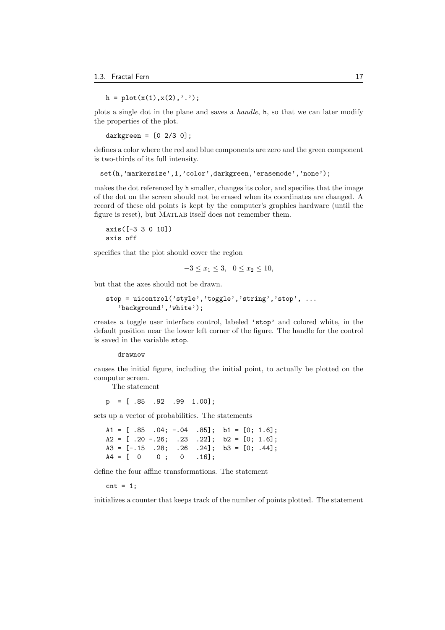$h = plot(x(1), x(2), '.'$ ;

plots a single dot in the plane and saves a *handle*, h, so that we can later modify the properties of the plot.

darkgreen = [0 2/3 0];

defines a color where the red and blue components are zero and the green component is two-thirds of its full intensity.

set(h,'markersize',1,'color',darkgreen,'erasemode','none');

makes the dot referenced by h smaller, changes its color, and specifies that the image of the dot on the screen should not be erased when its coordinates are changed. A record of these old points is kept by the computer's graphics hardware (until the figure is reset), but MATLAB itself does not remember them.

```
axis([-3 3 0 10])
axis off
```
specifies that the plot should cover the region

$$
-3 \le x_1 \le 3, \ \ 0 \le x_2 \le 10,
$$

but that the axes should not be drawn.

```
stop = uicontrol('style','toggle','string','stop', ...
   'background','white');
```
creates a toggle user interface control, labeled 'stop' and colored white, in the default position near the lower left corner of the figure. The handle for the control is saved in the variable stop.

#### drawnow

causes the initial figure, including the initial point, to actually be plotted on the computer screen.

The statement

 $p = [ .85, .92, .99, 1.00];$ 

sets up a vector of probabilities. The statements

 $A1 = [ .85 .04; -.04 .85]; b1 = [0; 1.6];$  $A2 = [ .20 - .26; .23 .22]; b2 = [0; 1.6];$  $A3 = [-.15 \t .28; \t .26 \t .24]; \t b3 = [0; .44];$  $A4 = [ 0 0; 0.16];$ 

define the four affine transformations. The statement

 $cnt = 1$ ;

initializes a counter that keeps track of the number of points plotted. The statement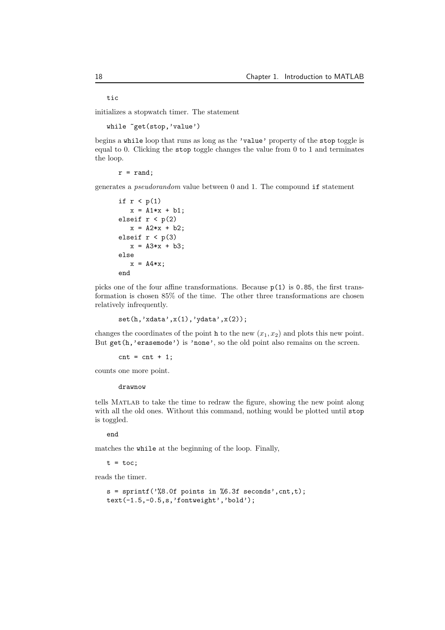tic

initializes a stopwatch timer. The statement

while "get(stop,'value')

begins a while loop that runs as long as the 'value' property of the stop toggle is equal to 0. Clicking the stop toggle changes the value from 0 to 1 and terminates the loop.

 $r = rand;$ 

generates a *pseudorandom* value between 0 and 1. The compound if statement

```
if r < p(1)x = A1*x + b1;
elseif r < p(2)x = A2*x + b2;elseif r < p(3)x = A3*x + b3;else
  x = A4*x;end
```
picks one of the four affine transformations. Because p(1) is 0.85, the first transformation is chosen 85% of the time. The other three transformations are chosen relatively infrequently.

```
set(h,'xdata',x(1),'ydata',x(2));
```
changes the coordinates of the point **h** to the new  $(x_1, x_2)$  and plots this new point. But get(h,'erasemode') is 'none', so the old point also remains on the screen.

 $cnt = cnt + 1;$ 

counts one more point.

drawnow

tells Matlab to take the time to redraw the figure, showing the new point along with all the old ones. Without this command, nothing would be plotted until stop is toggled.

end

matches the while at the beginning of the loop. Finally,

 $t = toc$ ;

reads the timer.

```
s = sprintf(\sqrt[3]{8.0f} points in \sqrt[6]{6.3f} seconds', cnt, t);
text(-1.5,-0.5,s,'fontweight','bold');
```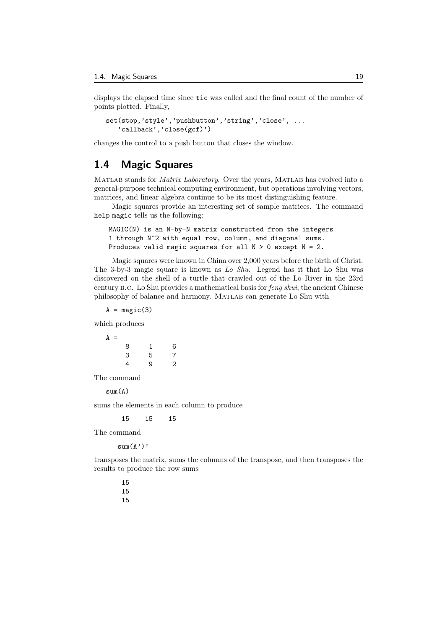displays the elapsed time since tic was called and the final count of the number of points plotted. Finally,

```
set(stop,'style','pushbutton','string','close', ...
   'callback','close(gcf)')
```
changes the control to a push button that closes the window.

### **1.4 Magic Squares**

Matlab stands for *Matrix Laboratory*. Over the years, Matlab has evolved into a general-purpose technical computing environment, but operations involving vectors, matrices, and linear algebra continue to be its most distinguishing feature.

Magic squares provide an interesting set of sample matrices. The command help magic tells us the following:

```
MAGIC(N) is an N-by-N matrix constructed from the integers
1 through N^2 with equal row, column, and diagonal sums.
Produces valid magic squares for all N > 0 except N = 2.
```
Magic squares were known in China over 2,000 years before the birth of Christ. The 3-by-3 magic square is known as *Lo Shu*. Legend has it that Lo Shu was discovered on the shell of a turtle that crawled out of the Lo River in the 23rd century b.c. Lo Shu provides a mathematical basis for *feng shui*, the ancient Chinese philosophy of balance and harmony. Matlab can generate Lo Shu with

 $A = magic(3)$ 

which produces

 $\mathtt A$ 

| = |   |   |                |
|---|---|---|----------------|
|   | 8 | 1 | 6              |
|   | 3 | 5 | 7              |
|   | 4 | 9 | $\overline{2}$ |
|   |   |   |                |

The command

 $sum(A)$ 

sums the elements in each column to produce

15 15 15

The command

 $sum(A')$ 

transposes the matrix, sums the columns of the transpose, and then transposes the results to produce the row sums

- 15 15
- 15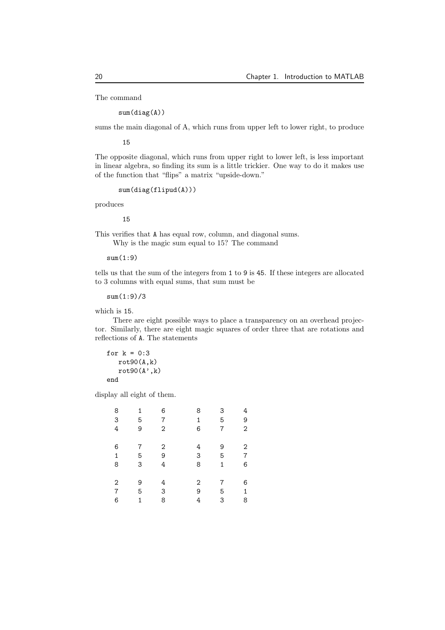The command

sum(diag(A))

sums the main diagonal of A, which runs from upper left to lower right, to produce

15

The opposite diagonal, which runs from upper right to lower left, is less important in linear algebra, so finding its sum is a little trickier. One way to do it makes use of the function that "flips" a matrix "upside-down."

```
sum(diag(flipud(A)))
```
produces

15

This verifies that A has equal row, column, and diagonal sums. Why is the magic sum equal to 15? The command

sum(1:9)

tells us that the sum of the integers from 1 to 9 is 45. If these integers are allocated to 3 columns with equal sums, that sum must be

 $sum(1:9)/3$ 

which is 15.

There are eight possible ways to place a transparency on an overhead projector. Similarly, there are eight magic squares of order three that are rotations and reflections of A. The statements

```
for k = 0:3rot90(A,k)rot90(A', k)end
```
display all eight of them.

| 8                       | 1                | 6              | 8              | 3              | 4              |
|-------------------------|------------------|----------------|----------------|----------------|----------------|
| 3                       | 5                | $\bf 7$        | $\mathbf{1}$   | $\mathbf 5$    | 9              |
| $\overline{4}$          | 9                | $\overline{2}$ | 6              | $\overline{7}$ | $\overline{2}$ |
| 6                       | $\boldsymbol{7}$ | 2              | 4              | 9              | 2              |
| $\mathbf{1}$            | $\mathbf 5$      | 9              | 3              | $\mathbf 5$    | $\overline{7}$ |
| 8                       | 3                | 4              | 8              | $\mathbf{1}$   | 6              |
| $\overline{\mathbf{c}}$ | 9                | 4              | 2              | 7              | 6              |
| $\boldsymbol{7}$        | 5                | 3              | 9              | 5              | $\mathbf{1}$   |
| 6                       | $\mathbf 1$      | 8              | $\overline{4}$ | $\overline{3}$ | 8              |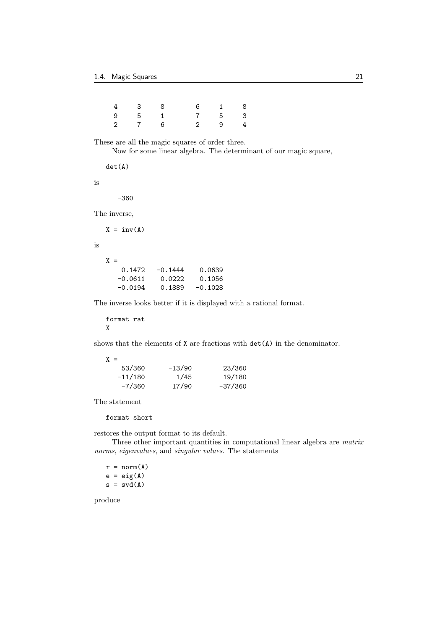| $4 \quad 3 \quad 8$ | $6 \qquad 1 \qquad 8$                                   |  |
|---------------------|---------------------------------------------------------|--|
|                     | 9 5 1 7 5 3                                             |  |
|                     | $2 \qquad 7 \qquad 6 \qquad \qquad 2 \qquad 9 \qquad 4$ |  |

These are all the magic squares of order three.

Now for some linear algebra. The determinant of our magic square,

det(A)

is

-360

The inverse,

```
X = inv(A)
```
is

| $X =$     |           |           |
|-----------|-----------|-----------|
| 0.1472    | $-0.1444$ | 0.0639    |
| $-0.0611$ | 0.0222    | 0.1056    |
| $-0.0194$ | 0.1889    | $-0.1028$ |
|           |           |           |

The inverse looks better if it is displayed with a rational format.

format rat X

shows that the elements of  $X$  are fractions with  $\det(A)$  in the denominator.

| $X =$     |          |           |
|-----------|----------|-----------|
| 53/360    | $-13/90$ | 23/360    |
| $-11/180$ | 1/45     | 19/180    |
| $-7/360$  | 17/90    | $-37/360$ |

The statement

format short

restores the output format to its default.

Three other important quantities in computational linear algebra are *matrix norms*, *eigenvalues*, and *singular values*. The statements

 $r = norm(A)$  $e = eig(A)$  $s = svd(A)$ 

produce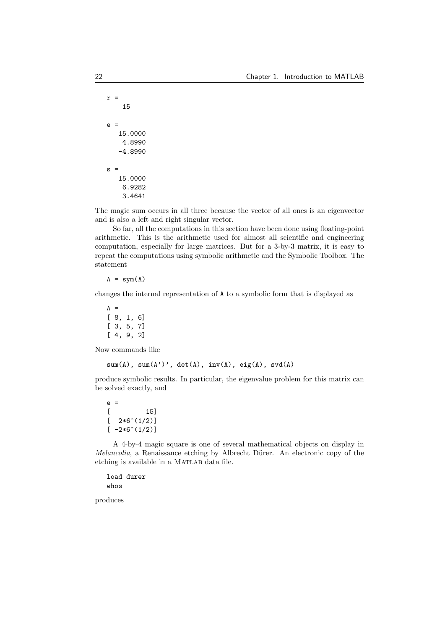```
r =
    15
e =15.0000
    4.8990
   -4.8990
s =15.0000
    6.9282
    3.4641
```
The magic sum occurs in all three because the vector of all ones is an eigenvector and is also a left and right singular vector.

So far, all the computations in this section have been done using floating-point arithmetic. This is the arithmetic used for almost all scientific and engineering computation, especially for large matrices. But for a 3-by-3 matrix, it is easy to repeat the computations using symbolic arithmetic and the Symbolic Toolbox. The statement

 $A = sym(A)$ 

changes the internal representation of A to a symbolic form that is displayed as

```
A =[ 8, 1, 6]
[ 3, 5, 7]
[ 4, 9, 2]
```
Now commands like

 $sum(A)$ ,  $sum(A')$ ,  $det(A)$ ,  $inv(A)$ ,  $eig(A)$ ,  $svd(A)$ 

produce symbolic results. In particular, the eigenvalue problem for this matrix can be solved exactly, and

e =  $[$  15]  $[2*6^(1/2)]$  $[-2*6^(1/2)]$ 

A 4-by-4 magic square is one of several mathematical objects on display in *Melancolia*, a Renaissance etching by Albrecht Dürer. An electronic copy of the etching is available in a MATLAB data file.

load durer whos

produces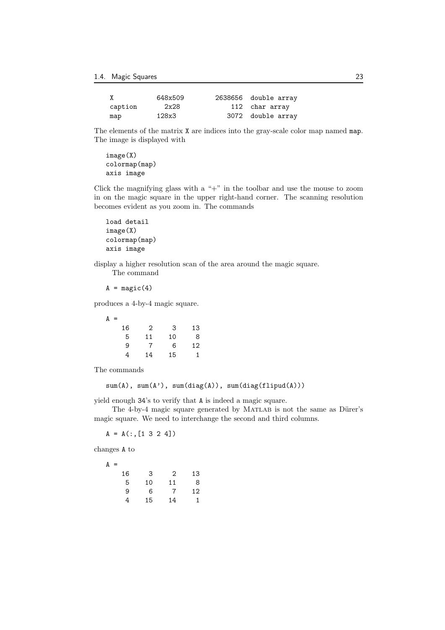| X       | 648x509 | 2638656 double array |
|---------|---------|----------------------|
| caption | 2x28    | 112 char array       |
| map     | 128x3   | 3072 double array    |

The elements of the matrix X are indices into the gray-scale color map named map. The image is displayed with

image(X) colormap(map) axis image

Click the magnifying glass with a " $+$ " in the toolbar and use the mouse to zoom in on the magic square in the upper right-hand corner. The scanning resolution becomes evident as you zoom in. The commands

load detail image(X) colormap(map) axis image

display a higher resolution scan of the area around the magic square.

```
The command
```
 $A = magic(4)$ 

produces a 4-by-4 magic square.

 $A =$ 16 2 3 13 5 11 10 8 9 7 6 12 4 14 15 1

The commands

sum(A), sum(A'), sum(diag(A)), sum(diag(flipud(A)))

yield enough 34's to verify that A is indeed a magic square.

The 4-by-4 magic square generated by MATLAB is not the same as Dürer's magic square. We need to interchange the second and third columns.

 $A = A(:,[1 3 2 4])$ 

changes A to

| $=$ |    |    |    |
|-----|----|----|----|
| 16  | 3  | 2  | 13 |
| 5   | 10 | 11 | 8  |
| 9   | 6  | 7  | 12 |
| 4   | 15 | 14 | 1  |
|     |    |    |    |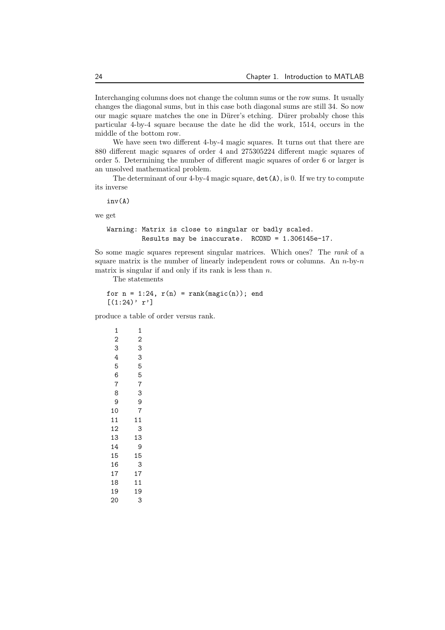Interchanging columns does not change the column sums or the row sums. It usually changes the diagonal sums, but in this case both diagonal sums are still 34. So now our magic square matches the one in Dürer's etching. Dürer probably chose this particular 4-by-4 square because the date he did the work, 1514, occurs in the middle of the bottom row.

We have seen two different 4-by-4 magic squares. It turns out that there are 880 different magic squares of order 4 and 275305224 different magic squares of order 5. Determining the number of different magic squares of order 6 or larger is an unsolved mathematical problem.

The determinant of our 4-by-4 magic square,  $det(A)$ , is 0. If we try to compute its inverse

inv(A)

we get

```
Warning: Matrix is close to singular or badly scaled.
        Results may be inaccurate. RCOND = 1.306145e-17.
```
So some magic squares represent singular matrices. Which ones? The *rank* of a square matrix is the number of linearly independent rows or columns. An *n*-by-*n* matrix is singular if and only if its rank is less than *n*.

The statements

```
for n = 1:24, r(n) = rank(magic(n)); end
[(1:24)' r']
```
produce a table of order versus rank.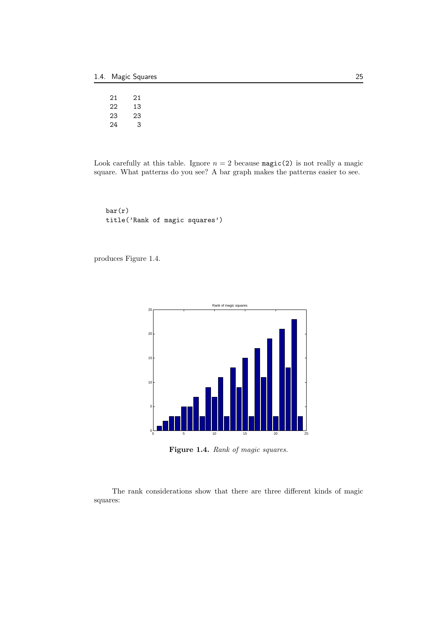| 21 | 21 |
|----|----|
| 22 | 13 |
| 23 | 23 |
| 24 | З  |

Look carefully at this table. Ignore  $n = 2$  because magic(2) is not really a magic square. What patterns do you see? A bar graph makes the patterns easier to see.

 $bar(r)$ title('Rank of magic squares')

produces Figure 1.4.



**Figure 1.4.** *Rank of magic squares.*

The rank considerations show that there are three different kinds of magic squares: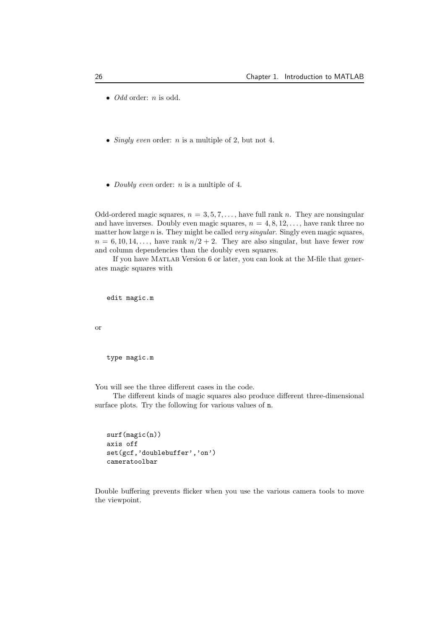- *• Odd* order: *n* is odd.
- *• Singly even* order: *n* is a multiple of 2, but not 4.
- *• Doubly even* order: *n* is a multiple of 4.

Odd-ordered magic squares,  $n = 3, 5, 7, \ldots$ , have full rank *n*. They are nonsingular and have inverses. Doubly even magic squares,  $n = 4, 8, 12, \ldots$ , have rank three no matter how large *n* is. They might be called *very singular*. Singly even magic squares,  $n = 6, 10, 14, \ldots$ , have rank  $n/2 + 2$ . They are also singular, but have fewer row and column dependencies than the doubly even squares.

If you have Matlab Version 6 or later, you can look at the M-file that generates magic squares with

edit magic.m

or

```
type magic.m
```
You will see the three different cases in the code.

The different kinds of magic squares also produce different three-dimensional surface plots. Try the following for various values of n.

```
surf(magic(n))
axis off
set(gcf,'doublebuffer','on')
cameratoolbar
```
Double buffering prevents flicker when you use the various camera tools to move the viewpoint.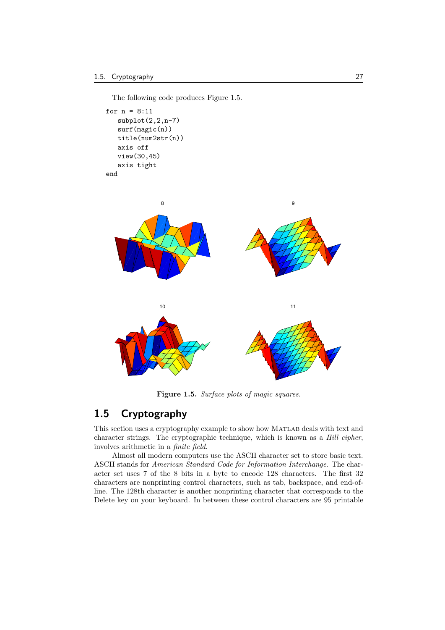The following code produces Figure 1.5.

```
for n = 8:11subplot(2,2,n-7)
  surf(magic(n))
   title(num2str(n))
   axis off
  view(30,45)
  axis tight
end
```


**Figure 1.5.** *Surface plots of magic squares.*

## **1.5 Cryptography**

This section uses a cryptography example to show how Matlab deals with text and character strings. The cryptographic technique, which is known as a *Hill cipher*, involves arithmetic in a *finite field*.

Almost all modern computers use the ASCII character set to store basic text. ASCII stands for *American Standard Code for Information Interchange*. The character set uses 7 of the 8 bits in a byte to encode 128 characters. The first 32 characters are nonprinting control characters, such as tab, backspace, and end-ofline. The 128th character is another nonprinting character that corresponds to the Delete key on your keyboard. In between these control characters are 95 printable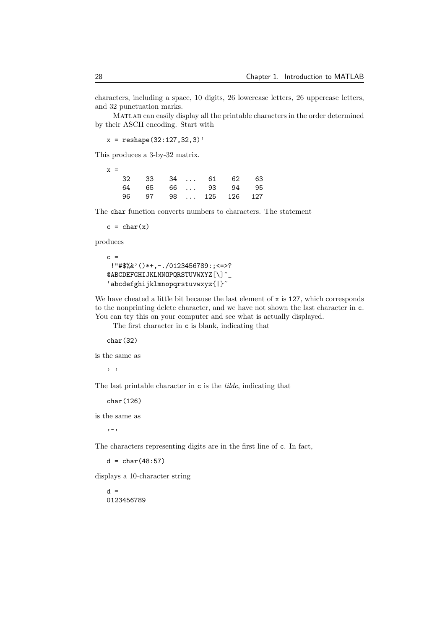characters, including a space, 10 digits, 26 lowercase letters, 26 uppercase letters, and 32 punctuation marks.

MATLAB can easily display all the printable characters in the order determined by their ASCII encoding. Start with

 $x =$  reshape(32:127,32,3)'

This produces a 3-by-32 matrix.

| $x =$ |                    |  |  |  |
|-------|--------------------|--|--|--|
|       | 32 33 34  61 62 63 |  |  |  |
|       | 64 65 66  93 94 95 |  |  |  |
|       | 97 98  125 126 127 |  |  |  |

The char function converts numbers to characters. The statement

 $c = char(x)$ 

produces

 $c =$ !"#\$%&'()\*+,-./0123456789:;<=>? @ABCDEFGHIJKLMNOPQRSTUVWXYZ[\]^\_ 'abcdefghijklmnopqrstuvwxyz{|}~

We have cheated a little bit because the last element of x is 127, which corresponds to the nonprinting delete character, and we have not shown the last character in c. You can try this on your computer and see what is actually displayed.

The first character in c is blank, indicating that

 $char(32)$ 

is the same as

, ,

The last printable character in c is the *tilde*, indicating that

char(126)

is the same as

 $, \sim$ 

The characters representing digits are in the first line of c. In fact,

 $d = char(48:57)$ 

displays a 10-character string

 $d =$ 0123456789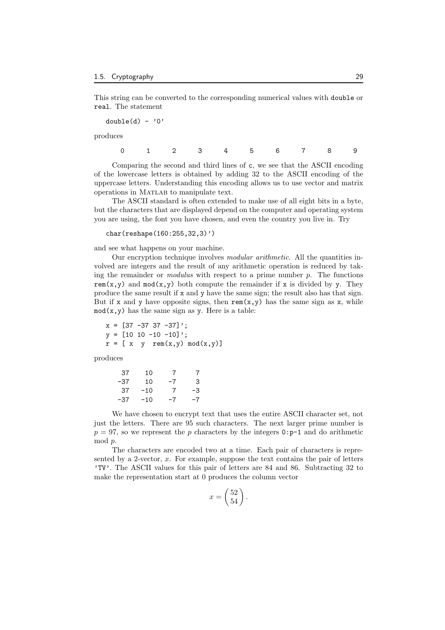This string can be converted to the corresponding numerical values with double or real. The statement

 $double(d) - '0'$ 

produces

| 0 1 2 3 4 5 6 7 8 9 |  |  |  |  |  |  |  |  |  |  |
|---------------------|--|--|--|--|--|--|--|--|--|--|
|---------------------|--|--|--|--|--|--|--|--|--|--|

Comparing the second and third lines of c, we see that the ASCII encoding of the lowercase letters is obtained by adding 32 to the ASCII encoding of the uppercase letters. Understanding this encoding allows us to use vector and matrix operations in Matlab to manipulate text.

The ASCII standard is often extended to make use of all eight bits in a byte, but the characters that are displayed depend on the computer and operating system you are using, the font you have chosen, and even the country you live in. Try

```
char(reshape(160:255,32,3)')
```
and see what happens on your machine.

Our encryption technique involves *modular arithmetic*. All the quantities involved are integers and the result of any arithmetic operation is reduced by taking the remainder or *modulus* with respect to a prime number *p*. The functions rem(x,y) and mod(x,y) both compute the remainder if x is divided by y. They produce the same result if x and y have the same sign; the result also has that sign. But if x and y have opposite signs, then  $\text{rem}(x,y)$  has the same sign as x, while  $mod(x, y)$  has the same sign as y. Here is a table:

 $x = [37 -37 37 -37]'$ ;  $y = [10 10 -10 -10]$ ;  $r = [x \ y \ \text{rem}(x,y) \ \text{mod}(x,y)]$ 

produces

| 37    | 10    | 7  | 7  |
|-------|-------|----|----|
| $-37$ | 10    | -7 | 3  |
| 37    | $-10$ | 7  | -3 |
| -37   | $-10$ | -7 | -7 |

We have chosen to encrypt text that uses the entire ASCII character set, not just the letters. There are 95 such characters. The next larger prime number is  $p = 97$ , so we represent the *p* characters by the integers  $0:p-1$  and do arithmetic mod *p*.

The characters are encoded two at a time. Each pair of characters is represented by a 2-vector, *x*. For example, suppose the text contains the pair of letters 'TV'. The ASCII values for this pair of letters are 84 and 86. Subtracting 32 to make the representation start at 0 produces the column vector

$$
x = \begin{pmatrix} 52 \\ 54 \end{pmatrix}.
$$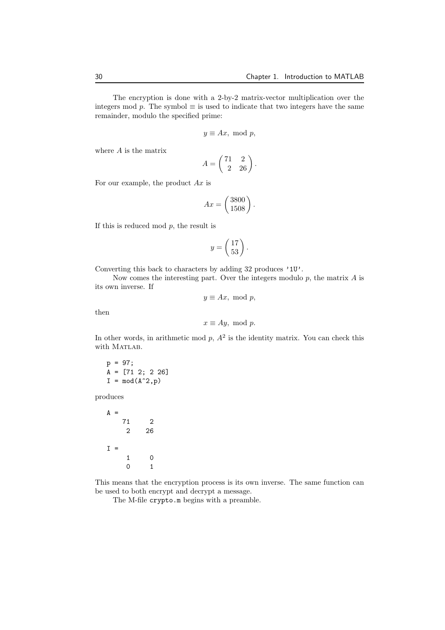The encryption is done with a 2-by-2 matrix-vector multiplication over the integers mod *p*. The symbol  $\equiv$  is used to indicate that two integers have the same remainder, modulo the specified prime:

$$
y \equiv Ax, \text{ mod } p,
$$

where *A* is the matrix

$$
A = \begin{pmatrix} 71 & 2 \\ 2 & 26 \end{pmatrix}.
$$

For our example, the product *Ax* is

$$
Ax = \begin{pmatrix} 3800 \\ 1508 \end{pmatrix}.
$$

If this is reduced mod *p*, the result is

$$
y = \begin{pmatrix} 17 \\ 53 \end{pmatrix}.
$$

Converting this back to characters by adding 32 produces '1U'.

Now comes the interesting part. Over the integers modulo *p*, the matrix *A* is its own inverse. If

$$
y \equiv Ax, \bmod p,
$$

then

$$
x \equiv Ay, \text{ mod } p.
$$

In other words, in arithmetic mod  $p$ ,  $A<sup>2</sup>$  is the identity matrix. You can check this with MATLAB.

p = 97; A = [71 2; 2 26]  $I = mod(A^2,p)$ 

produces

This means that the encryption process is its own inverse. The same function can be used to both encrypt and decrypt a message.

The M-file crypto.m begins with a preamble.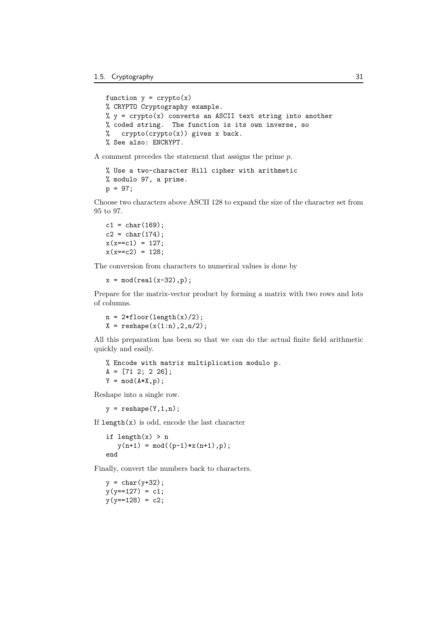```
function y = \text{crypto}(x)% CRYPTO Cryptography example.
% y = crypto(x) converts an ASCII text string into another
% coded string. The function is its own inverse, so
% crypto(crypto(x)) gives x back.
% See also: ENCRYPT.
```
A comment precedes the statement that assigns the prime *p*.

```
% Use a two-character Hill cipher with arithmetic
% modulo 97, a prime.
p = 97;
```
Choose two characters above ASCII 128 to expand the size of the character set from 95 to 97.

 $c1 = char(169);$  $c2 = char(174)$ ;  $x(x == c1) = 127;$  $x(x == c2) = 128;$ 

The conversion from characters to numerical values is done by

```
x = mod(real(x-32),p);
```
Prepare for the matrix-vector product by forming a matrix with two rows and lots of columns.

 $n = 2*floor(length(x)/2);$  $X = \text{reshape}(x(1:n), 2, n/2);$ 

All this preparation has been so that we can do the actual finite field arithmetic quickly and easily.

```
% Encode with matrix multiplication modulo p.
A = [71 2; 2 26];Y = mod(A*X, p);
```
Reshape into a single row.

 $y =$  reshape $(Y, 1, n)$ ;

If length(x) is odd, encode the last character

```
if length(x) > ny(n+1) = mod((p-1)*x(n+1),p);end
```
Finally, convert the numbers back to characters.

 $y = char(y+32);$  $y(y==127) = c1;$  $y(y==128) = c2;$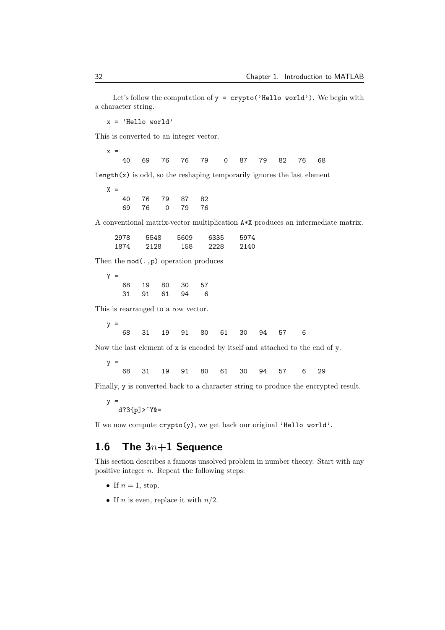Let's follow the computation of  $y =$  crypto('Hello world'). We begin with a character string.

 $x = 'Hello world'$ 

This is converted to an integer vector.

| $x =$ |  |  |                                 |  |  |  |
|-------|--|--|---------------------------------|--|--|--|
|       |  |  | 40 69 76 76 79 0 87 79 82 76 68 |  |  |  |

 $length(x)$  is odd, so the reshaping temporarily ignores the last element

| $X =$ |  |                |  |
|-------|--|----------------|--|
|       |  | 40 76 79 87 82 |  |
|       |  | 69 76 0 79 76  |  |

A conventional matrix-vector multiplication A\*X produces an intermediate matrix.

| 2978 | 5548 | 5609 | 6335 | 5974 |
|------|------|------|------|------|
| 1874 | 2128 | 158  | 2228 | 2140 |

Then the  $mod($ ., p) operation produces

 $Y =$ 68 19 80 30 57 31 91 61 94 6

This is rearranged to a row vector.

 $y =$ 68 31 19 91 80 61 30 94 57 6

Now the last element of x is encoded by itself and attached to the end of y.

 $y =$ 68 31 19 91 80 61 30 94 57 6 29

Finally, y is converted back to a character string to produce the encrypted result.

 $y =$ d?3{p]>~Y&=

If we now compute  $\text{crypto}(y)$ , we get back our original 'Hello world'.

# **1.6 The 3***n***+1 Sequence**

This section describes a famous unsolved problem in number theory. Start with any positive integer *n*. Repeat the following steps:

- If  $n = 1$ , stop.
- *•* If *n* is even, replace it with *n/*2.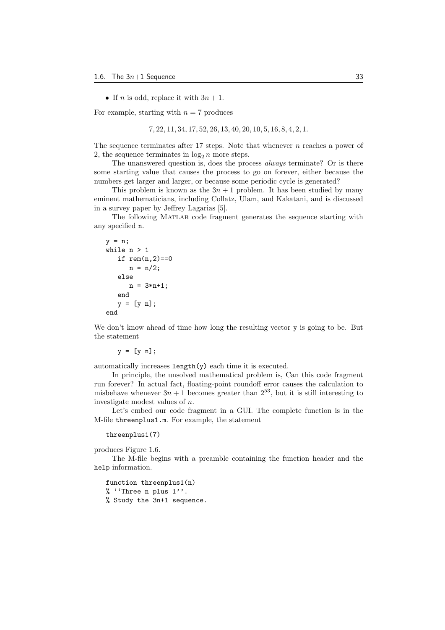• If *n* is odd, replace it with  $3n + 1$ .

For example, starting with  $n = 7$  produces

7*,* 22*,* 11*,* 34*,* 17*,* 52*,* 26*,* 13*,* 40*,* 20*,* 10*,* 5*,* 16*,* 8*,* 4*,* 2*,* 1*.*

The sequence terminates after 17 steps. Note that whenever *n* reaches a power of 2, the sequence terminates in  $\log_2 n$  more steps.

The unanswered question is, does the process *always* terminate? Or is there some starting value that causes the process to go on forever, either because the numbers get larger and larger, or because some periodic cycle is generated?

This problem is known as the  $3n + 1$  problem. It has been studied by many eminent mathematicians, including Collatz, Ulam, and Kakatani, and is discussed in a survey paper by Jeffrey Lagarias [5].

The following Matlab code fragment generates the sequence starting with any specified n.

```
y = n;
while n > 1if rem(n, 2) == 0n = n/2;else
      n = 3*n+1:
   end
   y = [y n];end
```
We don't know ahead of time how long the resulting vector y is going to be. But the statement

 $y = [y n];$ 

automatically increases length(y) each time it is executed.

In principle, the unsolved mathematical problem is, Can this code fragment run forever? In actual fact, floating-point roundoff error causes the calculation to misbehave whenever  $3n + 1$  becomes greater than  $2^{53}$ , but it is still interesting to investigate modest values of *n*.

Let's embed our code fragment in a GUI. The complete function is in the M-file threenplus1.m. For example, the statement

```
threenplus1(7)
```
produces Figure 1.6.

The M-file begins with a preamble containing the function header and the help information.

function threenplus1(n) % ''Three n plus 1''. % Study the 3n+1 sequence.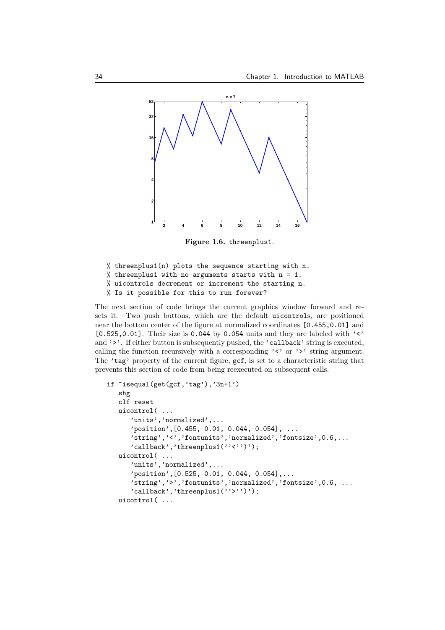

**Figure 1.6.** threenplus1*.*

% threenplus1(n) plots the sequence starting with n. % threenplus1 with no arguments starts with  $n = 1$ . % uicontrols decrement or increment the starting n. % Is it possible for this to run forever?

The next section of code brings the current graphics window forward and resets it. Two push buttons, which are the default uicontrols, are positioned near the bottom center of the figure at normalized coordinates [0.455,0.01] and  $[0.525, 0.01]$ . Their size is 0.044 by 0.054 units and they are labeled with ' $\langle \cdot \rangle$ ' and '>'. If either button is subsequently pushed, the 'callback' string is executed, calling the function recursively with a corresponding  $\prime\prime$  or  $\prime\prime$  string argument. The 'tag' property of the current figure, gcf, is set to a characteristic string that prevents this section of code from being reexecuted on subsequent calls.

```
if ~isequal(get(gcf,'tag'),'3n+1')
  shg
   clf reset
  uicontrol( ...
      'units','normalized',...
      'position',[0.455, 0.01, 0.044, 0.054], ...
      'string','<','fontunits','normalized','fontsize',0.6,...
      'callback','threenplus1(''<'')');
  uicontrol( ...
      'units','normalized',...
      'position',[0.525, 0.01, 0.044, 0.054],...
      'string','>','fontunits','normalized','fontsize',0.6, ...
      'callback','threenplus1(''>'')');
  uicontrol( ...
```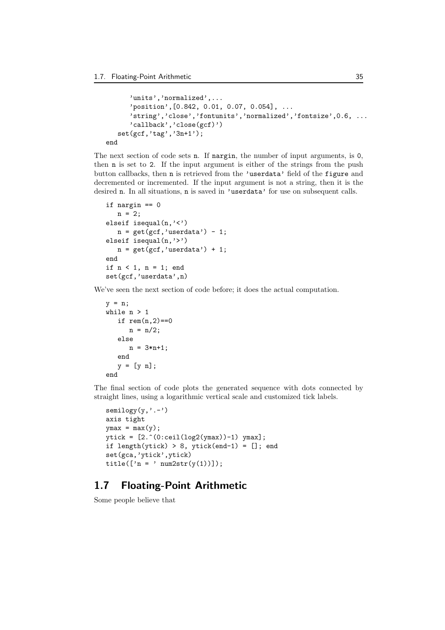```
'units','normalized',...
      'position',[0.842, 0.01, 0.07, 0.054], ...
      'string','close','fontunits','normalized','fontsize',0.6, ...
      'callback','close(gcf)')
   set(gcf,'tag','3n+1');
end
```
The next section of code sets n. If nargin, the number of input arguments, is 0, then n is set to 2. If the input argument is either of the strings from the push button callbacks, then n is retrieved from the 'userdata' field of the figure and decremented or incremented. If the input argument is not a string, then it is the desired n. In all situations, n is saved in 'userdata' for use on subsequent calls.

```
if nargin == 0
  n = 2;elseif isequal(n,'<')
  n = get(gcf, 'userdata') - 1;elseif isequal(n,'>')
  n = get(gcf, 'userdata') + 1;end
if n < 1, n = 1; end
set(gcf,'userdata',n)
```
We've seen the next section of code before; it does the actual computation.

```
y = n;while n > 1if rem(n, 2) == 0n = n/2;else
      n = 3*n+1;
   end
   y = [y n];end
```
The final section of code plots the generated sequence with dots connected by straight lines, using a logarithmic vertical scale and customized tick labels.

```
semilogy(y,'.-')
axis tight
ymax = max(y);
ytick = [2.^(0):ceil(log2(ymax))-1) ymax];
if length(ytick) > 8, ytick(end-1) = []; end
set(gca,'ytick',ytick)
title([\text{'n} = \text{'num2str(y(1))});
```
## **1.7 Floating-Point Arithmetic**

Some people believe that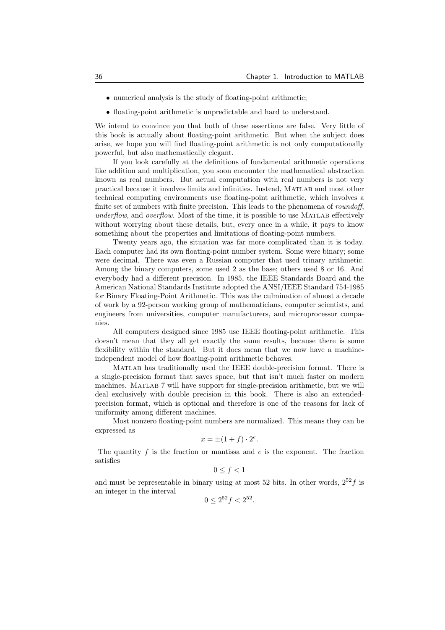- numerical analysis is the study of floating-point arithmetic;
- floating-point arithmetic is unpredictable and hard to understand.

We intend to convince you that both of these assertions are false. Very little of this book is actually about floating-point arithmetic. But when the subject does arise, we hope you will find floating-point arithmetic is not only computationally powerful, but also mathematically elegant.

If you look carefully at the definitions of fundamental arithmetic operations like addition and multiplication, you soon encounter the mathematical abstraction known as real numbers. But actual computation with real numbers is not very practical because it involves limits and infinities. Instead, Matlab and most other technical computing environments use floating-point arithmetic, which involves a finite set of numbers with finite precision. This leads to the phenomena of *roundoff*, *underflow*, and *overflow*. Most of the time, it is possible to use MATLAB effectively without worrying about these details, but, every once in a while, it pays to know something about the properties and limitations of floating-point numbers.

Twenty years ago, the situation was far more complicated than it is today. Each computer had its own floating-point number system. Some were binary; some were decimal. There was even a Russian computer that used trinary arithmetic. Among the binary computers, some used 2 as the base; others used 8 or 16. And everybody had a different precision. In 1985, the IEEE Standards Board and the American National Standards Institute adopted the ANSI/IEEE Standard 754-1985 for Binary Floating-Point Arithmetic. This was the culmination of almost a decade of work by a 92-person working group of mathematicians, computer scientists, and engineers from universities, computer manufacturers, and microprocessor companies.

All computers designed since 1985 use IEEE floating-point arithmetic. This doesn't mean that they all get exactly the same results, because there is some flexibility within the standard. But it does mean that we now have a machineindependent model of how floating-point arithmetic behaves.

Matlab has traditionally used the IEEE double-precision format. There is a single-precision format that saves space, but that isn't much faster on modern machines. Matlab 7 will have support for single-precision arithmetic, but we will deal exclusively with double precision in this book. There is also an extendedprecision format, which is optional and therefore is one of the reasons for lack of uniformity among different machines.

Most nonzero floating-point numbers are normalized. This means they can be expressed as

$$
x = \pm (1 + f) \cdot 2^e.
$$

The quantity *f* is the fraction or mantissa and *e* is the exponent. The fraction satisfies

$$
0 \le f < 1
$$

and must be representable in binary using at most 52 bits. In other words,  $2^{52}f$  is an integer in the interval

$$
0 \le 2^{52} f < 2^{52}.
$$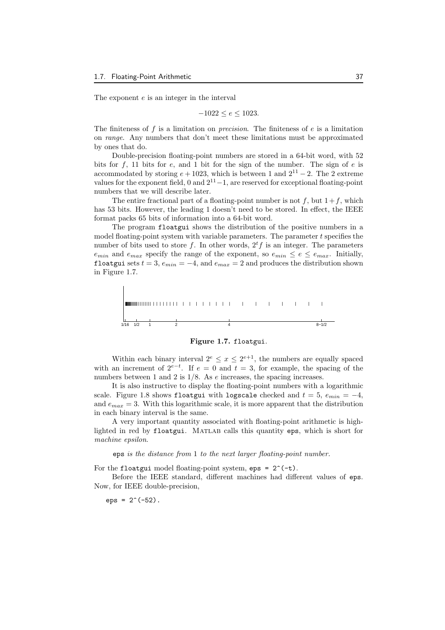The exponent *e* is an integer in the interval

$$
-1022 \le e \le 1023.
$$

The finiteness of *f* is a limitation on *precision*. The finiteness of *e* is a limitation on *range*. Any numbers that don't meet these limitations must be approximated by ones that do.

Double-precision floating-point numbers are stored in a 64-bit word, with 52 bits for *f*, 11 bits for *e*, and 1 bit for the sign of the number. The sign of *e* is accommodated by storing  $e + 1023$ , which is between 1 and  $2^{11} - 2$ . The 2 extreme values for the exponent field, 0 and  $2^{11}-1$ , are reserved for exceptional floating-point numbers that we will describe later.

The entire fractional part of a floating-point number is not  $f$ , but  $1+f$ , which has 53 bits. However, the leading 1 doesn't need to be stored. In effect, the IEEE format packs 65 bits of information into a 64-bit word.

The program floatgui shows the distribution of the positive numbers in a model floating-point system with variable parameters. The parameter *t* specifies the number of bits used to store f. In other words,  $2<sup>t</sup>f$  is an integer. The parameters  $e_{min}$  and  $e_{max}$  specify the range of the exponent, so  $e_{min} \leq e \leq e_{max}$ . Initially, floatgui sets  $t = 3$ ,  $e_{min} = -4$ , and  $e_{max} = 2$  and produces the distribution shown in Figure 1.7.



**Figure 1.7.** floatgui*.*

Within each binary interval  $2^e \le x \le 2^{e+1}$ , the numbers are equally spaced with an increment of  $2^{e-t}$ . If  $e = 0$  and  $t = 3$ , for example, the spacing of the numbers between 1 and 2 is  $1/8$ . As *e* increases, the spacing increases.

It is also instructive to display the floating-point numbers with a logarithmic scale. Figure 1.8 shows floatgui with logscale checked and  $t = 5$ ,  $e_{min} = -4$ , and *emax* = 3. With this logarithmic scale, it is more apparent that the distribution in each binary interval is the same.

A very important quantity associated with floating-point arithmetic is highlighted in red by floatgui. Matlab calls this quantity eps, which is short for *machine epsilon*.

eps *is the distance from* 1 *to the next larger floating-point number.*

For the floatgui model floating-point system, eps =  $2^(-t)$ .

Before the IEEE standard, different machines had different values of eps. Now, for IEEE double-precision,

 $eps = 2^(-52)$ .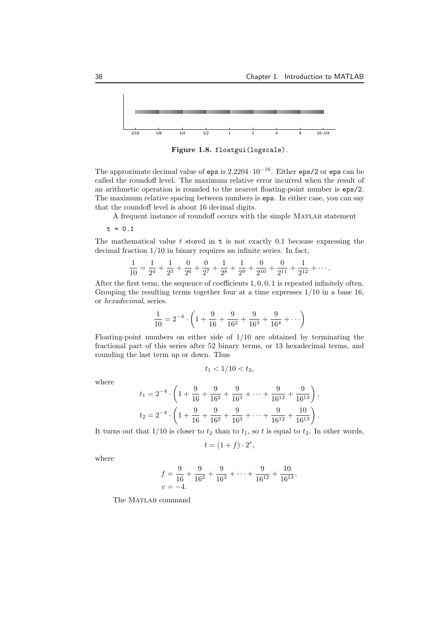

**Figure 1.8.** floatgui(logscale)*.*

The approximate decimal value of eps is 2*.*<sup>2204</sup> *·* <sup>10</sup>*−*<sup>16</sup>. Either eps/2 or eps can be called the roundoff level. The maximum relative error incurred when the result of an arithmetic operation is rounded to the nearest floating-point number is eps/2. The maximum relative spacing between numbers is eps. In either case, you can say that the roundoff level is about 16 decimal digits.

A frequent instance of roundoff occurs with the simple MATLAB statement

$$
t = 0.1
$$

The mathematical value *t* stored in t is not exactly 0*.*1 because expressing the decimal fraction 1*/*10 in binary requires an infinite series. In fact,

$$
\frac{1}{10} = \frac{1}{2^4} + \frac{1}{2^5} + \frac{0}{2^6} + \frac{0}{2^7} + \frac{1}{2^8} + \frac{1}{2^9} + \frac{0}{2^{10}} + \frac{0}{2^{11}} + \frac{1}{2^{12}} + \cdots
$$

After the first term, the sequence of coefficients 1*,* 0*,* 0*,* 1 is repeated infinitely often. Grouping the resulting terms together four at a time expresses 1*/*10 in a base 16, or *hexadecimal*, series.

$$
\frac{1}{10} = 2^{-4} \cdot \left( 1 + \frac{9}{16} + \frac{9}{16^2} + \frac{9}{16^3} + \frac{9}{16^4} + \cdots \right)
$$

Floating-point numbers on either side of 1*/*10 are obtained by terminating the fractional part of this series after 52 binary terms, or 13 hexadecimal terms, and rounding the last term up or down. Thus

$$
t_1 < 1/10 < t_2
$$

 $\sim$ 

where

$$
t_1 = 2^{-4} \cdot \left( 1 + \frac{9}{16} + \frac{9}{16^2} + \frac{9}{16^3} + \dots + \frac{9}{16^{12}} + \frac{9}{16^{13}} \right),
$$
  

$$
t_2 = 2^{-4} \cdot \left( 1 + \frac{9}{16} + \frac{9}{16^2} + \frac{9}{16^3} + \dots + \frac{9}{16^{12}} + \frac{10}{16^{13}} \right).
$$

It turns out that  $1/10$  is closer to  $t_2$  than to  $t_1$ , so *t* is equal to  $t_2$ . In other words,

$$
t = (1+f) \cdot 2^e,
$$

where

$$
f = \frac{9}{16} + \frac{9}{16^2} + \frac{9}{16^3} + \dots + \frac{9}{16^{12}} + \frac{10}{16^{13}},
$$
  

$$
e = -4.
$$

The MATLAB command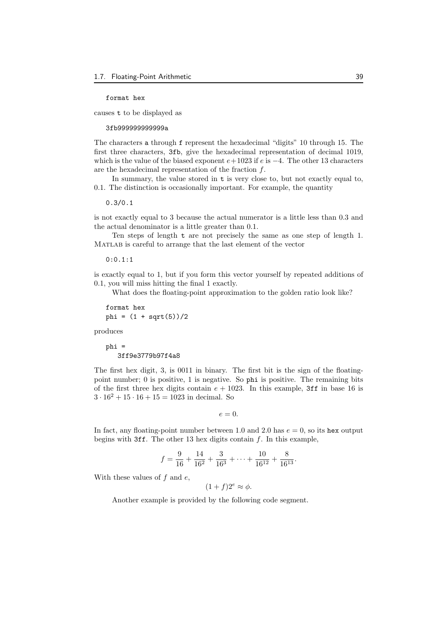format hex

causes t to be displayed as

3fb999999999999a

The characters a through f represent the hexadecimal "digits" 10 through 15. The first three characters, 3fb, give the hexadecimal representation of decimal 1019, which is the value of the biased exponent *e*+1023 if *e* is *−*4. The other 13 characters are the hexadecimal representation of the fraction *f*.

In summary, the value stored in t is very close to, but not exactly equal to, 0*.*1. The distinction is occasionally important. For example, the quantity

0.3/0.1

is not exactly equal to 3 because the actual numerator is a little less than 0*.*3 and the actual denominator is a little greater than 0*.*1.

Ten steps of length t are not precisely the same as one step of length 1. Matlab is careful to arrange that the last element of the vector

 $0:0.1:1$ 

is exactly equal to 1, but if you form this vector yourself by repeated additions of 0*.*1, you will miss hitting the final 1 exactly.

What does the floating-point approximation to the golden ratio look like?

format hex  $phi = (1 + sqrt(5))/2$ 

produces

phi = 3ff9e3779b97f4a8

The first hex digit, 3, is 0011 in binary. The first bit is the sign of the floatingpoint number; 0 is positive, 1 is negative. So phi is positive. The remaining bits of the first three hex digits contain  $e + 1023$ . In this example, 3ff in base 16 is  $3 \cdot 16^2 + 15 \cdot 16 + 15 = 1023$  in decimal. So

 $e = 0.$ 

In fact, any floating-point number between 1.0 and 2.0 has  $e = 0$ , so its hex output begins with 3ff. The other 13 hex digits contain *f*. In this example,

$$
f = \frac{9}{16} + \frac{14}{16^2} + \frac{3}{16^3} + \dots + \frac{10}{16^{12}} + \frac{8}{16^{13}}.
$$

With these values of *f* and *e*,

 $(1+f)2^e \approx \phi$ .

Another example is provided by the following code segment.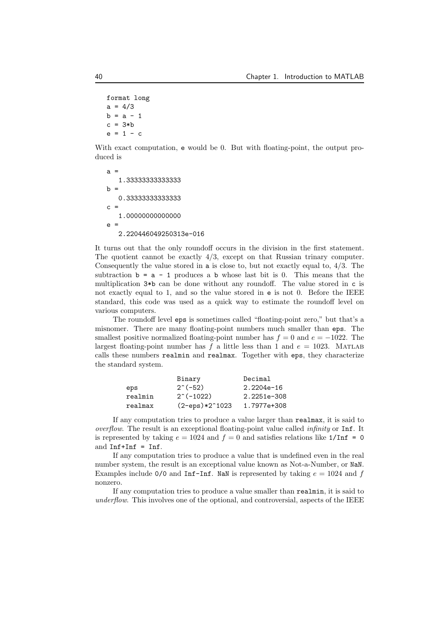```
format long
a = 4/3b = a - 1c = 3*b
e = 1 - c
```
With exact computation, e would be 0. But with floating-point, the output produced is

```
a =1.33333333333333
<sub>b</sub></sub>
   0.33333333333333
c =1.00000000000000
e =2.220446049250313e-016
```
It turns out that the only roundoff occurs in the division in the first statement. The quotient cannot be exactly 4*/*3, except on that Russian trinary computer. Consequently the value stored in a is close to, but not exactly equal to, 4*/*3. The subtraction  $b = a - 1$  produces a b whose last bit is 0. This means that the multiplication 3\*b can be done without any roundoff. The value stored in c is not exactly equal to 1, and so the value stored in e is not 0. Before the IEEE standard, this code was used as a quick way to estimate the roundoff level on various computers.

The roundoff level eps is sometimes called "floating-point zero," but that's a misnomer. There are many floating-point numbers much smaller than eps. The smallest positive normalized floating-point number has *f* = 0 and *e* = *−*1022. The largest floating-point number has  $f$  a little less than 1 and  $e = 1023$ . MATLAB calls these numbers realmin and realmax. Together with eps, they characterize the standard system.

|         | Binary                  |              |
|---------|-------------------------|--------------|
| eps     | $2^(-52)$               | $2.2204e-16$ |
| realmin | $2^(-1022)$             | 2.2251e-308  |
| realmax | $(2-\text{eps})*2^1023$ | 1.7977e+308  |

If any computation tries to produce a value larger than realmax, it is said to *overflow*. The result is an exceptional floating-point value called *infinity* or Inf. It is represented by taking  $e = 1024$  and  $f = 0$  and satisfies relations like  $1/\text{Inf} = 0$ and Inf+Inf = Inf.

If any computation tries to produce a value that is undefined even in the real number system, the result is an exceptional value known as Not-a-Number, or NaN. Examples include 0/0 and Inf-Inf. NaN is represented by taking  $e = 1024$  and f nonzero.

If any computation tries to produce a value smaller than realmin, it is said to *underflow*. This involves one of the optional, and controversial, aspects of the IEEE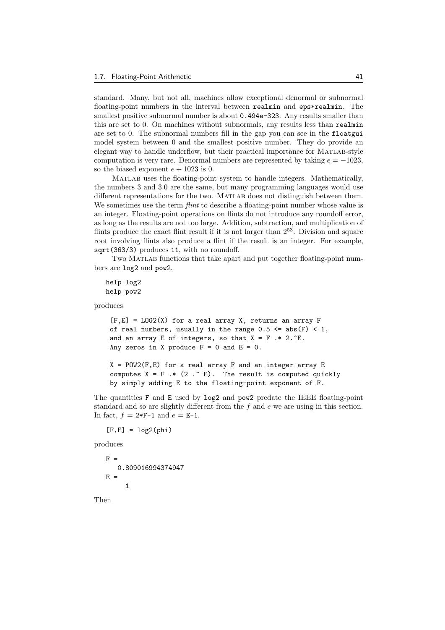standard. Many, but not all, machines allow exceptional denormal or subnormal floating-point numbers in the interval between realmin and eps\*realmin. The smallest positive subnormal number is about 0.494e-323. Any results smaller than this are set to 0. On machines without subnormals, any results less than realmin are set to 0. The subnormal numbers fill in the gap you can see in the floatgui model system between 0 and the smallest positive number. They do provide an elegant way to handle underflow, but their practical importance for Matlab-style computation is very rare. Denormal numbers are represented by taking *e* = *−*1023, so the biased exponent  $e + 1023$  is 0.

Matlab uses the floating-point system to handle integers. Mathematically, the numbers 3 and 3*.*0 are the same, but many programming languages would use different representations for the two. Matlab does not distinguish between them. We sometimes use the term *flint* to describe a floating-point number whose value is an integer. Floating-point operations on flints do not introduce any roundoff error, as long as the results are not too large. Addition, subtraction, and multiplication of flints produce the exact flint result if it is not larger than  $2^{53}$ . Division and square root involving flints also produce a flint if the result is an integer. For example, sqrt(363/3) produces 11, with no roundoff.

Two MATLAB functions that take apart and put together floating-point numbers are log2 and pow2.

```
help log2
help pow2
```
produces

```
[F, E] = LOG2(X) for a real array X, returns an array F
of real numbers, usually in the range 0.5 \leq abs(F) \leq 1,
and an array E of integers, so that X = F. * 2.^E.
Any zeros in X produce F = 0 and E = 0.
X = POW2(F, E) for a real array F and an integer array E
computes X = F .* (2 .^ E). The result is computed quickly
by simply adding E to the floating-point exponent of F.
```
The quantities F and E used by log2 and pow2 predate the IEEE floating-point standard and so are slightly different from the *f* and *e* we are using in this section. In fact,  $f = 2 \cdot F - 1$  and  $e = E - 1$ .

 $[F,E] = \log(2(\text{phi}))$ 

produces

 $F =$ 0.809016994374947  $E =$ 1

Then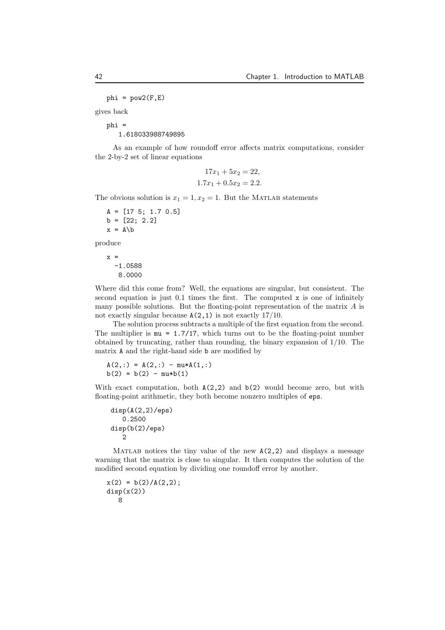$phi = pow2(F, E)$ 

gives back

phi = 1.618033988749895

As an example of how roundoff error affects matrix computations, consider the 2-by-2 set of linear equations

$$
17x_1 + 5x_2 = 22,
$$
  

$$
1.7x_1 + 0.5x_2 = 2.2.
$$

The obvious solution is  $x_1 = 1, x_2 = 1$ . But the MATLAB statements

 $A = [175:1.70.5]$  $b = [22: 2.2]$  $x = A \ b$ 

produce

 $x =$ -1.0588 8.0000

Where did this come from? Well, the equations are singular, but consistent. The second equation is just 0*.*1 times the first. The computed x is one of infinitely many possible solutions. But the floating-point representation of the matrix *A* is not exactly singular because A(2,1) is not exactly 17*/*10.

The solution process subtracts a multiple of the first equation from the second. The multiplier is  $mu = 1.7/17$ , which turns out to be the floating-point number obtained by truncating, rather than rounding, the binary expansion of 1*/*10. The matrix A and the right-hand side b are modified by

 $A(2,:) = A(2,:) - mu*A(1,:))$  $b(2) = b(2) - \text{mu*b}(1)$ 

With exact computation, both  $A(2,2)$  and  $b(2)$  would become zero, but with floating-point arithmetic, they both become nonzero multiples of eps.

 $disp(A(2,2)/eps)$ 0.2500  $disp(b(2)/eps)$ 2

MATLAB notices the tiny value of the new  $A(2,2)$  and displays a message warning that the matrix is close to singular. It then computes the solution of the modified second equation by dividing one roundoff error by another.

 $x(2) = b(2)/A(2,2);$  $disp(x(2))$ 8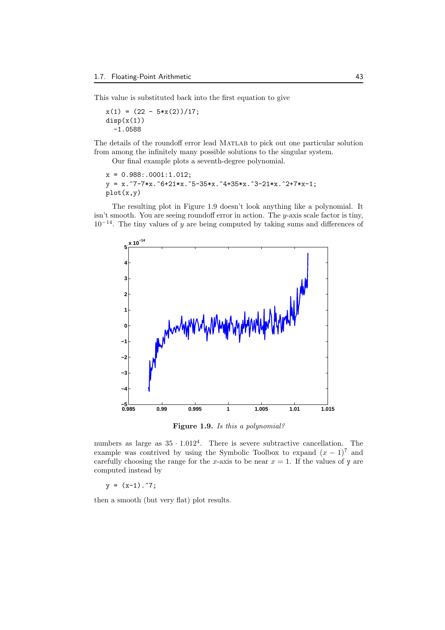This value is substituted back into the first equation to give

```
x(1) = (22 - 5*x(2))/17;
disp(x(1))-1.0588
```
The details of the roundoff error lead Matlab to pick out one particular solution from among the infinitely many possible solutions to the singular system.

Our final example plots a seventh-degree polynomial.

```
x = 0.988: .0001:1.012;y = x.^7-7*x.^6+21*x.^5-35*x.^4+35*x.^3-21*x.^2+7*x-1;plot(x,y)
```
The resulting plot in Figure 1.9 doesn't look anything like a polynomial. It isn't smooth. You are seeing roundoff error in action. The *y*-axis scale factor is tiny, 10*−*<sup>14</sup>. The tiny values of *y* are being computed by taking sums and differences of



**Figure 1.9.** *Is this a polynomial?*

numbers as large as  $35 \cdot 1.012^4$ . There is severe subtractive cancellation. The example was contrived by using the Symbolic Toolbox to expand  $(x - 1)^7$  and carefully choosing the range for the *x*-axis to be near  $x = 1$ . If the values of y are computed instead by

 $y = (x-1)$ .<sup>2</sup>7;

then a smooth (but very flat) plot results.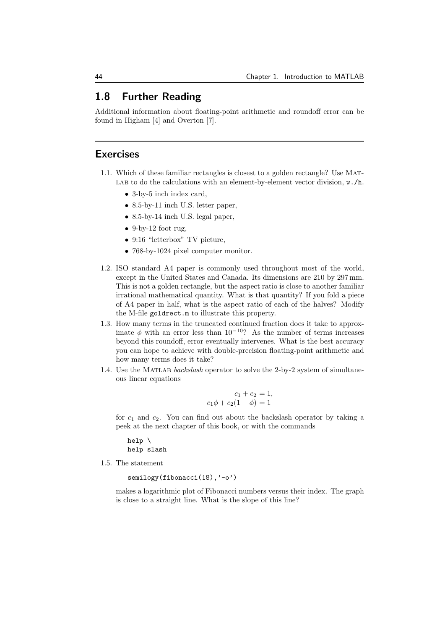## **1.8 Further Reading**

Additional information about floating-point arithmetic and roundoff error can be found in Higham [4] and Overton [7].

## **Exercises**

- 1.1. Which of these familiar rectangles is closest to a golden rectangle? Use Mat-LAB to do the calculations with an element-by-element vector division,  $w \cdot / h$ .
	- *•* 3-by-5 inch index card,
	- *•* 8.5-by-11 inch U.S. letter paper,
	- *•* 8.5-by-14 inch U.S. legal paper,
	- *•* 9-by-12 foot rug,
	- 9:16 "letterbox" TV picture,
	- *•* 768-by-1024 pixel computer monitor.
- 1.2. ISO standard A4 paper is commonly used throughout most of the world, except in the United States and Canada. Its dimensions are 210 by 297 mm. This is not a golden rectangle, but the aspect ratio is close to another familiar irrational mathematical quantity. What is that quantity? If you fold a piece of A4 paper in half, what is the aspect ratio of each of the halves? Modify the M-file goldrect.m to illustrate this property.
- 1.3. How many terms in the truncated continued fraction does it take to approximate  $\phi$  with an error less than 10<sup>−10</sup>? As the number of terms increases beyond this roundoff, error eventually intervenes. What is the best accuracy you can hope to achieve with double-precision floating-point arithmetic and how many terms does it take?
- 1.4. Use the Matlab *backslash* operator to solve the 2-by-2 system of simultaneous linear equations

$$
c_1 + c_2 = 1,
$$
  

$$
c_1 \phi + c_2 (1 - \phi) = 1
$$

for  $c_1$  and  $c_2$ . You can find out about the backslash operator by taking a peek at the next chapter of this book, or with the commands

help \ help slash

1.5. The statement

semilogy(fibonacci(18),'-o')

makes a logarithmic plot of Fibonacci numbers versus their index. The graph is close to a straight line. What is the slope of this line?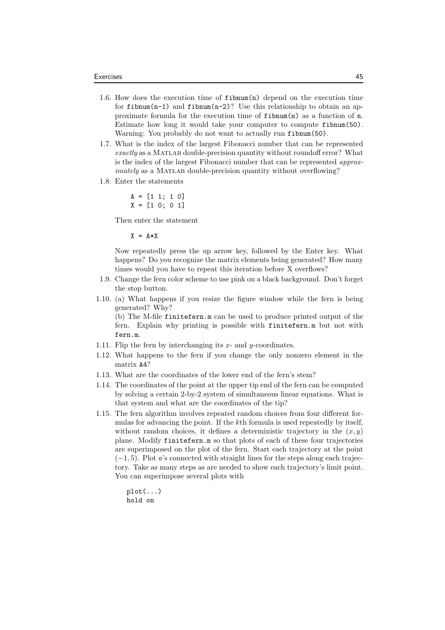- 1.6. How does the execution time of  $fibnum(n)$  depend on the execution time for fibnum(n-1) and fibnum(n-2)? Use this relationship to obtain an approximate formula for the execution time of  $f$ ibnum $(n)$  as a function of n. Estimate how long it would take your computer to compute fibnum(50). Warning: You probably do not want to actually run fibnum(50).
- 1.7. What is the index of the largest Fibonacci number that can be represented *exactly* as a MATLAB double-precision quantity without roundoff error? What is the index of the largest Fibonacci number that can be represented *approximately* as a MATLAB double-precision quantity without overflowing?
- 1.8. Enter the statements

$$
A = [1 \ 1; \ 1 \ 0]
$$
  

$$
X = [1 \ 0; \ 0 \ 1]
$$

Then enter the statement

 $X = A*X$ 

Now repeatedly press the up arrow key, followed by the Enter key. What happens? Do you recognize the matrix elements being generated? How many times would you have to repeat this iteration before X overflows?

- 1.9. Change the fern color scheme to use pink on a black background. Don't forget the stop button.
- 1.10. (a) What happens if you resize the figure window while the fern is being generated? Why?

(b) The M-file finitefern.m can be used to produce printed output of the fern. Explain why printing is possible with finitefern.m but not with fern.m.

- 1.11. Flip the fern by interchanging its *x* and *y*-coordinates.
- 1.12. What happens to the fern if you change the only nonzero element in the matrix A4?
- 1.13. What are the coordinates of the lower end of the fern's stem?
- 1.14. The coordinates of the point at the upper tip end of the fern can be computed by solving a certain 2-by-2 system of simultaneous linear equations. What is that system and what are the coordinates of the tip?
- 1.15. The fern algorithm involves repeated random choices from four different formulas for advancing the point. If the *k*th formula is used repeatedly by itself, without random choices, it defines a deterministic trajectory in the  $(x, y)$ plane. Modify finitefern.m so that plots of each of these four trajectories are superimposed on the plot of the fern. Start each trajectory at the point (*−*1*,* 5). Plot o's connected with straight lines for the steps along each trajectory. Take as many steps as are needed to show each trajectory's limit point. You can superimpose several plots with

 $plot($ ... $)$ hold on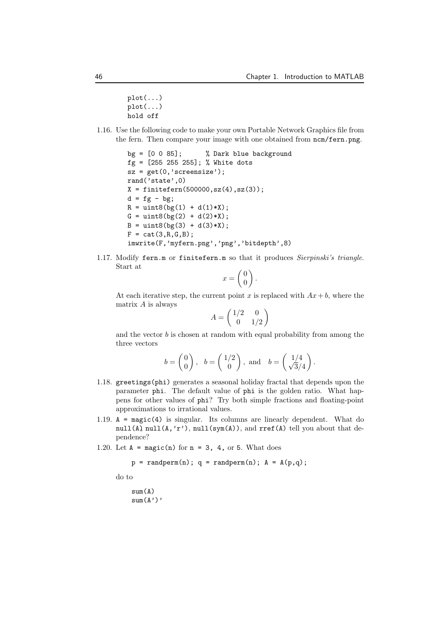plot(...) plot(...) hold off

1.16. Use the following code to make your own Portable Network Graphics file from the fern. Then compare your image with one obtained from ncm/fern.png.

```
bg = [0 \ 0 \ 85]; % Dark blue background
fg = [255 255 255]; % White dots
sz = get(0, 'screen size');rand('state',0)
X = finitefern(500000, sz(4), sz(3));d = fg - bg;R = \text{uint8}(bg(1) + d(1)*X);G = \text{uint8}(bg(2) + d(2)*X);B = \text{uint8}(bg(3) + d(3)*X);F = cat(3,R,G,B);imwrite(F,'myfern.png','png','bitdepth',8)
```
1.17. Modify fern.m or finitefern.m so that it produces *Sierpinski's triangle*. Start at

$$
x = \begin{pmatrix} 0 \\ 0 \end{pmatrix}.
$$

At each iterative step, the current point *x* is replaced with  $Ax + b$ , where the matrix *A* is always

$$
A=\begin{pmatrix} 1/2 & 0 \\ 0 & 1/2 \end{pmatrix}
$$

and the vector *b* is chosen at random with equal probability from among the three vectors

$$
b = \begin{pmatrix} 0 \\ 0 \end{pmatrix}, \quad b = \begin{pmatrix} 1/2 \\ 0 \end{pmatrix}, \text{ and } \quad b = \begin{pmatrix} 1/4 \\ \sqrt{3}/4 \end{pmatrix}.
$$

- 1.18. greetings(phi) generates a seasonal holiday fractal that depends upon the parameter phi. The default value of phi is the golden ratio. What happens for other values of phi? Try both simple fractions and floating-point approximations to irrational values.
- 1.19. A = magic(4) is singular. Its columns are linearly dependent. What do  $null(A, 'r'), null(sym(A)), and rref(A)$  tell you about that dependence?
- 1.20. Let  $A = \text{magic}(n)$  for  $n = 3$ , 4, or 5. What does

 $p = \text{randperm}(n); q = \text{randperm}(n); A = A(p,q);$ 

do to

sum(A)  $sum(A')$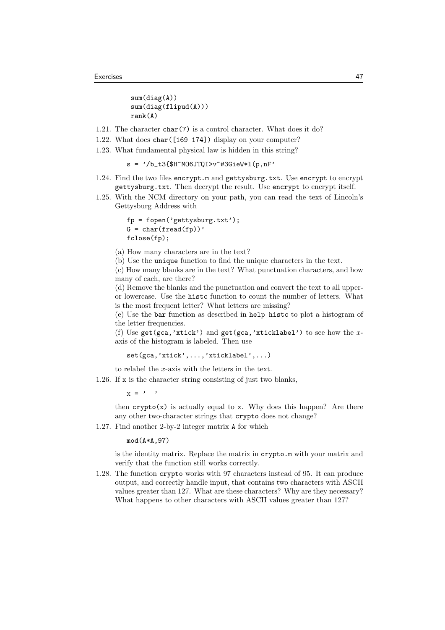```
sum(diag(A))sum(diag(flipud(A)))
rank(A)
```
- 1.21. The character char(7) is a control character. What does it do?
- 1.22. What does char([169 174]) display on your computer?
- 1.23. What fundamental physical law is hidden in this string?

 $s = \frac{1}{b}$  /b\_t3{\$H~MO6JTQI>v~#3GieW\*l(p,nF'

- 1.24. Find the two files encrypt.m and gettysburg.txt. Use encrypt to encrypt gettysburg.txt. Then decrypt the result. Use encrypt to encrypt itself.
- 1.25. With the NCM directory on your path, you can read the text of Lincoln's Gettysburg Address with

```
fp = fopen('gettysburg.txt');
G = char(fread(fp))'fclose(fp);
```
(a) How many characters are in the text?

(b) Use the unique function to find the unique characters in the text.

(c) How many blanks are in the text? What punctuation characters, and how many of each, are there?

(d) Remove the blanks and the punctuation and convert the text to all upperor lowercase. Use the histc function to count the number of letters. What is the most frequent letter? What letters are missing?

(e) Use the bar function as described in help histc to plot a histogram of the letter frequencies.

(f) Use get(gca,'xtick') and get(gca,'xticklabel') to see how the *x*axis of the histogram is labeled. Then use

set(gca,'xtick',...,'xticklabel',...)

to relabel the *x*-axis with the letters in the text.

1.26. If x is the character string consisting of just two blanks,

 $x = '$ 

then  $\text{crypto}(x)$  is actually equal to x. Why does this happen? Are there any other two-character strings that crypto does not change?

1.27. Find another 2-by-2 integer matrix A for which

mod(A\*A,97)

is the identity matrix. Replace the matrix in crypto.m with your matrix and verify that the function still works correctly.

1.28. The function crypto works with 97 characters instead of 95. It can produce output, and correctly handle input, that contains two characters with ASCII values greater than 127. What are these characters? Why are they necessary? What happens to other characters with ASCII values greater than 127?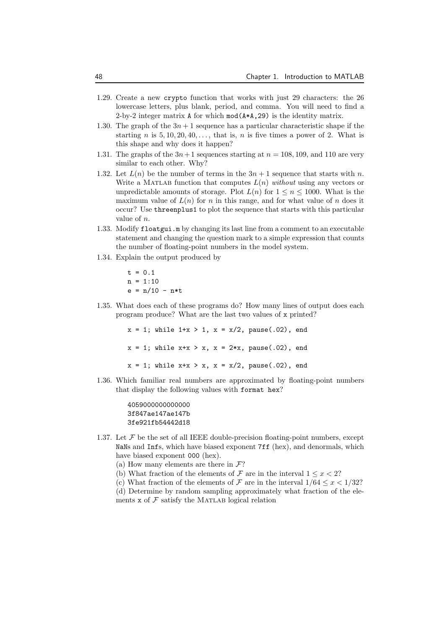- 1.29. Create a new crypto function that works with just 29 characters: the 26 lowercase letters, plus blank, period, and comma. You will need to find a 2-by-2 integer matrix  $A$  for which  $mod(A*A,29)$  is the identity matrix.
- 1.30. The graph of the  $3n + 1$  sequence has a particular characteristic shape if the starting *n* is  $5, 10, 20, 40, \ldots$ , that is, *n* is five times a power of 2. What is this shape and why does it happen?
- 1.31. The graphs of the  $3n+1$  sequences starting at  $n = 108, 109,$  and 110 are very similar to each other. Why?
- 1.32. Let  $L(n)$  be the number of terms in the  $3n + 1$  sequence that starts with *n*. Write a MATLAB function that computes  $L(n)$  *without* using any vectors or unpredictable amounts of storage. Plot  $L(n)$  for  $1 \leq n \leq 1000$ . What is the maximum value of  $L(n)$  for *n* in this range, and for what value of *n* does it occur? Use threenplus1 to plot the sequence that starts with this particular value of *n*.
- 1.33. Modify floatgui.m by changing its last line from a comment to an executable statement and changing the question mark to a simple expression that counts the number of floating-point numbers in the model system.
- 1.34. Explain the output produced by

 $t = 0.1$  $n = 1:10$  $e = n/10 - n*t$ 

1.35. What does each of these programs do? How many lines of output does each program produce? What are the last two values of x printed?

> $x = 1$ ; while  $1+x > 1$ ,  $x = x/2$ , pause(.02), end  $x = 1$ ; while  $x+x > x$ ,  $x = 2*x$ , pause(.02), end  $x = 1$ ; while  $x+x > x$ ,  $x = x/2$ , pause(.02), end

1.36. Which familiar real numbers are approximated by floating-point numbers that display the following values with format hex?

> 4059000000000000 3f847ae147ae147b 3fe921fb54442d18

- 1.37. Let  $\mathcal F$  be the set of all IEEE double-precision floating-point numbers, except NaNs and Infs, which have biased exponent 7ff (hex), and denormals, which have biased exponent 000 (hex).
	- (a) How many elements are there in *F*?
	- (b) What fraction of the elements of  $\mathcal F$  are in the interval  $1 \leq x < 2$ ?

(c) What fraction of the elements of  $\mathcal F$  are in the interval  $1/64 \leq x < 1/32$ ? (d) Determine by random sampling approximately what fraction of the ele-

ments  $x$  of  $F$  satisfy the MATLAB logical relation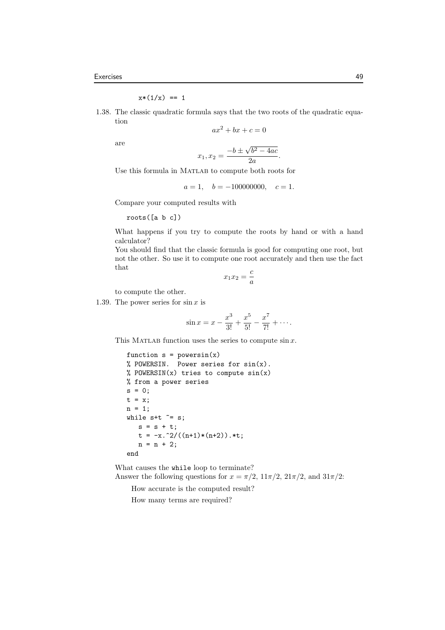$$
x*(1/x) == 1
$$

1.38. The classic quadratic formula says that the two roots of the quadratic equation

$$
ax^2 + bx + c = 0
$$

are

$$
x_1, x_2 = \frac{-b \pm \sqrt{b^2 - 4ac}}{2a}.
$$

Use this formula in Matlab to compute both roots for

 $a = 1, \quad b = -100000000, \quad c = 1.$ 

Compare your computed results with

roots([a b c])

What happens if you try to compute the roots by hand or with a hand calculator?

You should find that the classic formula is good for computing one root, but not the other. So use it to compute one root accurately and then use the fact that

$$
x_1 x_2 = \frac{c}{a}
$$

to compute the other.

1.39. The power series for sin *x* is

$$
\sin x = x - \frac{x^3}{3!} + \frac{x^5}{5!} - \frac{x^7}{7!} + \cdots
$$

This MATLAB function uses the series to compute  $\sin x$ .

```
function s = powersin(x)% POWERSIN. Power series for sin(x).
% POWERSIN(x) tries to compute sin(x)% from a power series
s = 0;t = x;n = 1;while s+t \tilde{} = s;
   s = s + t;t = -x.^2/((n+1)*(n+2)).**t;n = n + 2;end
```
What causes the while loop to terminate? Answer the following questions for  $x = \pi/2$ ,  $11\pi/2$ ,  $21\pi/2$ , and  $31\pi/2$ :

How accurate is the computed result?

How many terms are required?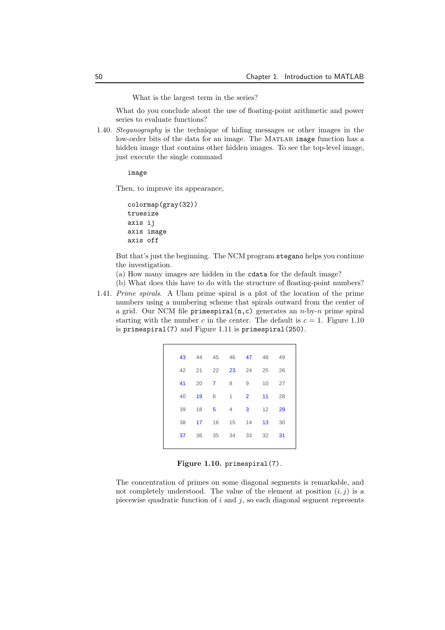What is the largest term in the series?

What do you conclude about the use of floating-point arithmetic and power series to evaluate functions?

1.40. *Steganography* is the technique of hiding messages or other images in the low-order bits of the data for an image. The MATLAB image function has a hidden image that contains other hidden images. To see the top-level image, just execute the single command

image

Then, to improve its appearance,

```
colormap(gray(32))
truesize
axis ij
axis image
axis off
```
But that's just the beginning. The NCM program stegano helps you continue the investigation.

- (a) How many images are hidden in the cdata for the default image?
- (b) What does this have to do with the structure of floating-point numbers?
- 1.41. *Prime spirals*. A Ulam prime spiral is a plot of the location of the prime numbers using a numbering scheme that spirals outward from the center of a grid. Our NCM file primespiral(n,c) generates an *n*-by-*n* prime spiral starting with the number *c* in the center. The default is  $c = 1$ . Figure 1.10 is primespiral(7) and Figure 1.11 is primespiral(250).

|    | 43 44 45 46 47 48 49         |        |                |   |          |    |  |
|----|------------------------------|--------|----------------|---|----------|----|--|
| 42 |                              |        | 21  22  23  24 |   | 25       | 26 |  |
| 41 |                              | 20 7 8 |                | 9 | 10       | 27 |  |
| 40 |                              |        | 19 6 1 2       |   | 11       | 28 |  |
| 39 | 18 5 4                       |        |                |   | $3 \t12$ | 29 |  |
| 38 | <b>17</b> 16 15 14 <b>13</b> |        |                |   |          | 30 |  |
| 37 |                              |        | 36 35 34 33    |   | 32       | 31 |  |
|    |                              |        |                |   |          |    |  |

**Figure 1.10.** primespiral(7)*.*

The concentration of primes on some diagonal segments is remarkable, and not completely understood. The value of the element at position  $(i, j)$  is a piecewise quadratic function of *i* and *j*, so each diagonal segment represents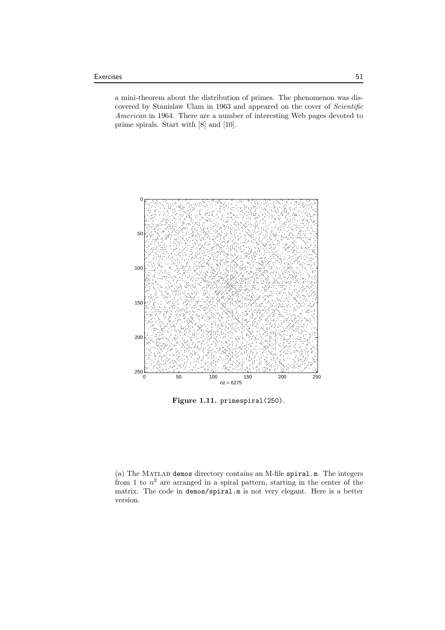a mini-theorem about the distribution of primes. The phenomenon was discovered by Stanislaw Ulam in 1963 and appeared on the cover of *Scientific American* in 1964. There are a number of interesting Web pages devoted to prime spirals. Start with [8] and [10].



**Figure 1.11.** primespiral(250)*.*

(a) The Matlab demos directory contains an M-file spiral.m. The integers from 1 to *n* <sup>2</sup> are arranged in a spiral pattern, starting in the center of the matrix. The code in demos/spiral.m is not very elegant. Here is a better version.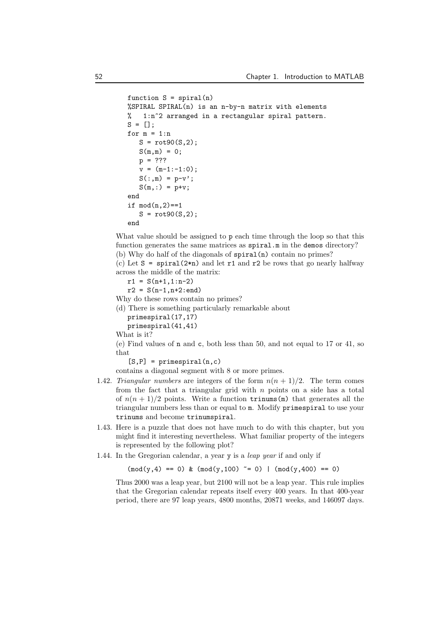```
function S = spiral(n)
%SPIRAL SPIRAL(n) is an n-by-n matrix with elements
% 1:n^2 arranged in a rectangular spiral pattern.
S = \square:
for m = 1:nS = rot90(S, 2);S(m,m) = 0;p = ???v = (m-1:-1:0);S(:,m) = p-v;
   S(m,:) = p+v;end
if mod(n, 2) == 1S = rot90(S, 2);
end
```
What value should be assigned to **p** each time through the loop so that this function generates the same matrices as spiral.m in the demos directory? (b) Why do half of the diagonals of spiral(n) contain no primes?

(c) Let  $S = spiral(2*n)$  and let r1 and r2 be rows that go nearly halfway across the middle of the matrix:

 $r1 = S(n+1, 1:n-2)$ 

 $r2 = S(n-1, n+2:end)$ 

Why do these rows contain no primes? (d) There is something particularly remarkable about

primespiral(17,17) primespiral(41,41)

What is it?

(e) Find values of n and c, both less than 50, and not equal to 17 or 41, so that

 $[S, P] = principal(n, c)$ 

contains a diagonal segment with 8 or more primes.

- 1.42. *Triangular numbers* are integers of the form  $n(n + 1)/2$ . The term comes from the fact that a triangular grid with *n* points on a side has a total of  $n(n+1)/2$  points. Write a function  $\text{trinums}(m)$  that generates all the triangular numbers less than or equal to m. Modify primespiral to use your trinums and become trinumspiral.
- 1.43. Here is a puzzle that does not have much to do with this chapter, but you might find it interesting nevertheless. What familiar property of the integers is represented by the following plot?
- 1.44. In the Gregorian calendar, a year y is a *leap year* if and only if

 $(mod(y,4) == 0) \& (mod(y,100) \text{ = } 0) | (mod(y,400) == 0)$ 

Thus 2000 was a leap year, but 2100 will not be a leap year. This rule implies that the Gregorian calendar repeats itself every 400 years. In that 400-year period, there are 97 leap years, 4800 months, 20871 weeks, and 146097 days.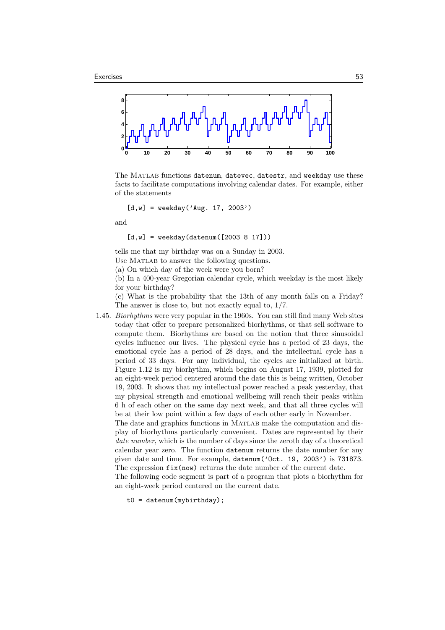

The MATLAB functions datenum, datevec, datestr, and weekday use these facts to facilitate computations involving calendar dates. For example, either of the statements

$$
[d,w] = \text{weekday('Aug. 17, 2003')}
$$

and

 $[d, w] = weakday(datanum([2003 8 17]))$ 

tells me that my birthday was on a Sunday in 2003.

Use MATLAB to answer the following questions.

(a) On which day of the week were you born?

(b) In a 400-year Gregorian calendar cycle, which weekday is the most likely for your birthday?

(c) What is the probability that the 13th of any month falls on a Friday? The answer is close to, but not exactly equal to, 1/7.

1.45. *Biorhythms* were very popular in the 1960s. You can still find many Web sites today that offer to prepare personalized biorhythms, or that sell software to compute them. Biorhythms are based on the notion that three sinusoidal cycles influence our lives. The physical cycle has a period of 23 days, the emotional cycle has a period of 28 days, and the intellectual cycle has a period of 33 days. For any individual, the cycles are initialized at birth. Figure 1.12 is my biorhythm, which begins on August 17, 1939, plotted for an eight-week period centered around the date this is being written, October 19, 2003. It shows that my intellectual power reached a peak yesterday, that my physical strength and emotional wellbeing will reach their peaks within 6 h of each other on the same day next week, and that all three cycles will be at their low point within a few days of each other early in November.

The date and graphics functions in Matlab make the computation and display of biorhythms particularly convenient. Dates are represented by their *date number*, which is the number of days since the zeroth day of a theoretical calendar year zero. The function datenum returns the date number for any given date and time. For example, datenum('Oct. 19, 2003') is 731873. The expression  $fix(new)$  returns the date number of the current date.

The following code segment is part of a program that plots a biorhythm for an eight-week period centered on the current date.

t0 = datenum(mybirthday);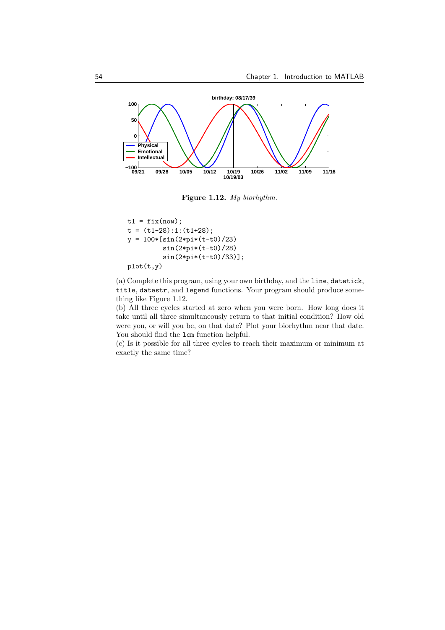

**Figure 1.12.** *My biorhythm.*

 $t1 = fix(now);$  $t = (t1-28):1:(t1+28);$ y = 100\*[sin(2\*pi\*(t-t0)/23) sin(2\*pi\*(t-t0)/28) sin(2\*pi\*(t-t0)/33)]; plot(t,y)

(a) Complete this program, using your own birthday, and the line, datetick, title, datestr, and legend functions. Your program should produce something like Figure 1.12.

(b) All three cycles started at zero when you were born. How long does it take until all three simultaneously return to that initial condition? How old were you, or will you be, on that date? Plot your biorhythm near that date. You should find the lcm function helpful.

(c) Is it possible for all three cycles to reach their maximum or minimum at exactly the same time?